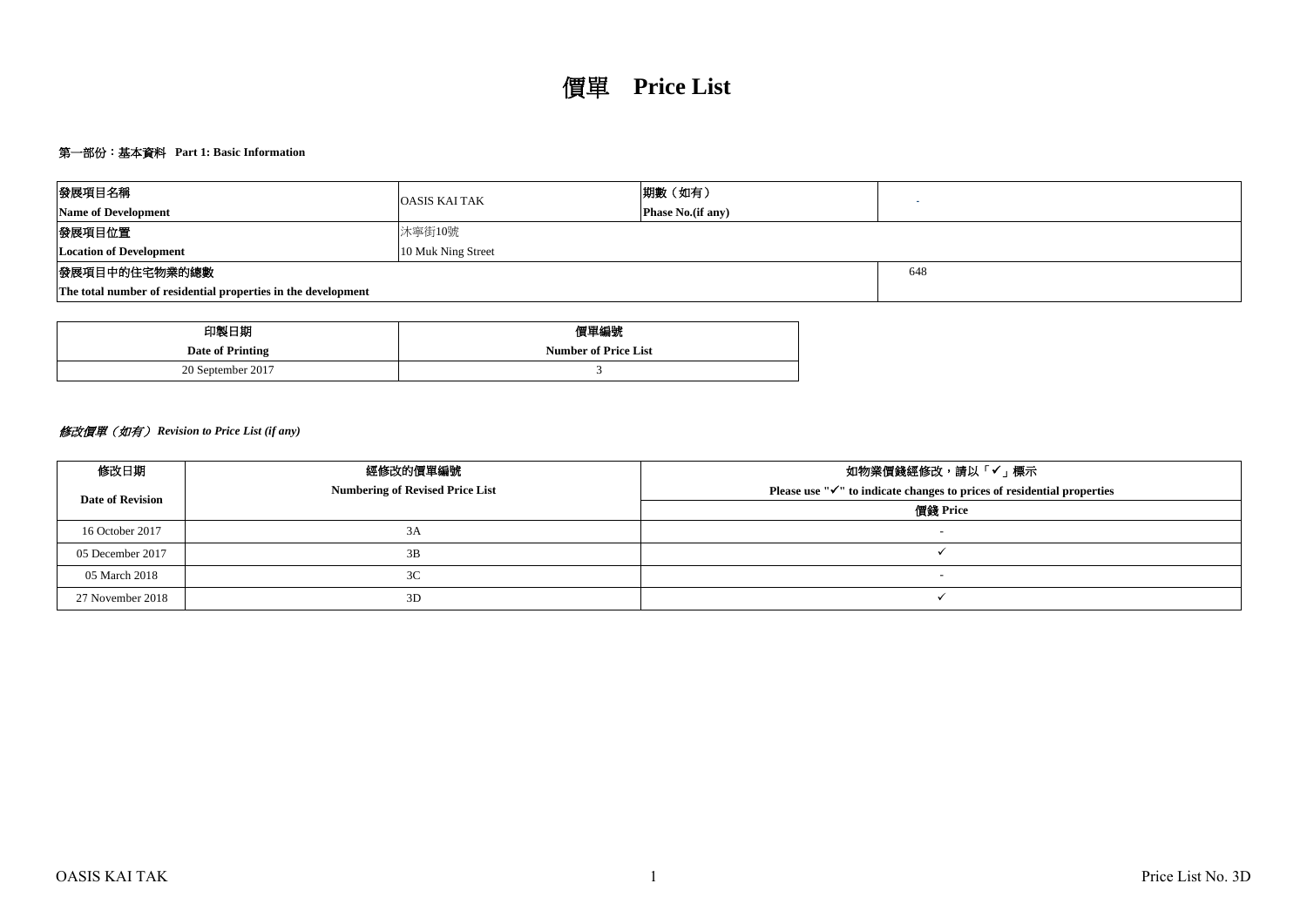# 第一部份:基本資料 **Part 1: Basic Information**

| 發展項目名稱                                                        | <b>OASIS KAI TAK</b>      | 期數 (如有) |  |  |  |  |  |  |  |
|---------------------------------------------------------------|---------------------------|---------|--|--|--|--|--|--|--|
| <b>Name of Development</b>                                    | <b>Phase No.</b> (if any) |         |  |  |  |  |  |  |  |
| 發展項目位置                                                        | 沐寧街10號                    |         |  |  |  |  |  |  |  |
| <b>Location of Development</b>                                | 10 Muk Ning Street        |         |  |  |  |  |  |  |  |
| 發展項目中的住宅物業的總數                                                 |                           | 648     |  |  |  |  |  |  |  |
| The total number of residential properties in the development |                           |         |  |  |  |  |  |  |  |

| 印製日期              | 價單編號                        |
|-------------------|-----------------------------|
| Date of Printing  | <b>Number of Price List</b> |
| 20 September 2017 |                             |

# 修改價單(如有) *Revision to Price List (if any)*

| 修改日期                    | 經修改的價單編號                               | 如物業價錢經修改,請以「✔」標示                                                                |
|-------------------------|----------------------------------------|---------------------------------------------------------------------------------|
| <b>Date of Revision</b> | <b>Numbering of Revised Price List</b> | Please use $\mathbb{V}$ to indicate changes to prices of residential properties |
|                         |                                        | 價錢 Price                                                                        |
| 16 October 2017         | 3A                                     | $\overline{\phantom{0}}$                                                        |
| 05 December 2017        | 3B                                     |                                                                                 |
| 05 March 2018           | 3C                                     |                                                                                 |
| 27 November 2018        | 3D                                     |                                                                                 |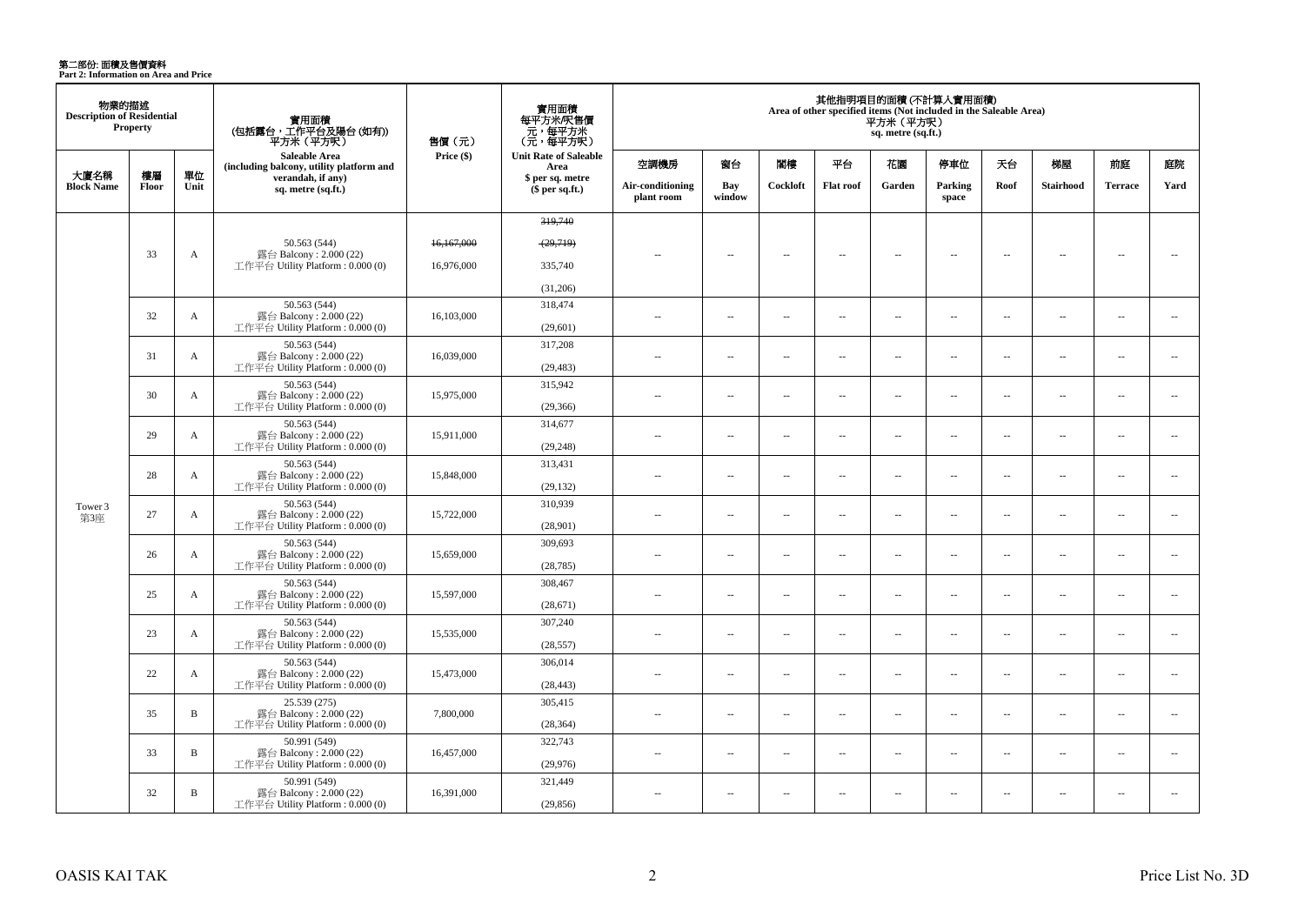**第二部份: 面積及售價資料**<br>Part 2: Information on Area and Price

| 物業的描述<br><b>Description of Residential</b> | <b>Property</b> |              | 實用面積<br>(包括露台,工作平台及陽台 (如有))<br>平方米(平方呎)                                    | 售價 (元)     | 實用面積<br>每平方米/呎售價<br>- 元, 每平方米<br>(元, 每平方呎) |                                |                          |          |                          | 平方米 (平方呎)<br>sq. metre (sq.ft.) | 其他指明項目的面積 (不計算入實用面積)<br>Area of other specified items (Not included in the Saleable Area) |                          |                          |                          |                          |
|--------------------------------------------|-----------------|--------------|----------------------------------------------------------------------------|------------|--------------------------------------------|--------------------------------|--------------------------|----------|--------------------------|---------------------------------|-------------------------------------------------------------------------------------------|--------------------------|--------------------------|--------------------------|--------------------------|
|                                            |                 |              | Saleable Area<br>(including balcony, utility platform and                  | Price (\$) | <b>Unit Rate of Saleable</b><br>Area       | 空調機房                           | 窗台                       | 閣樓       | 平台                       | 花園                              | 停車位                                                                                       | 天台                       | 梯屋                       | 前庭                       | 庭院                       |
| 大廈名稱<br><b>Block Name</b>                  | 樓層<br>Floor     | 單位<br>Unit   | verandah, if any)<br>sq. metre (sq.ft.)                                    |            | \$ per sq. metre<br>\$per sq.ft.)          | Air-conditioning<br>plant room | Bay<br>window            | Cockloft | <b>Flat roof</b>         | Garden                          | Parking<br>space                                                                          | Roof                     | <b>Stairhood</b>         | <b>Terrace</b>           | Yard                     |
|                                            |                 |              |                                                                            |            | 319,740                                    |                                |                          |          |                          |                                 |                                                                                           |                          |                          |                          |                          |
|                                            |                 |              |                                                                            |            |                                            |                                |                          |          |                          |                                 |                                                                                           |                          |                          |                          |                          |
|                                            | 33              | A            | 50.563 (544)<br>露台 Balcony: 2.000 (22)                                     | 16,167,000 | (29,719)                                   | $\overline{\phantom{a}}$       | $\overline{\phantom{a}}$ | $\sim$   | $\overline{\phantom{a}}$ | $\sim$                          | $\overline{\phantom{a}}$                                                                  | $\overline{\phantom{a}}$ | $\sim$                   | $\overline{\phantom{a}}$ | $\overline{\phantom{a}}$ |
|                                            |                 |              | 工作平台 Utility Platform : 0.000 (0)                                          | 16.976.000 | 335,740                                    |                                |                          |          |                          |                                 |                                                                                           |                          |                          |                          |                          |
|                                            |                 |              |                                                                            |            | (31,206)                                   |                                |                          |          |                          |                                 |                                                                                           |                          |                          |                          |                          |
|                                            | 32              | $\mathbf{A}$ | 50.563 (544)<br>露台 Balcony: 2.000 (22)<br>工作平台 Utility Platform: 0.000 (0) | 16,103,000 | 318,474<br>(29,601)                        | $\sim$                         | $\overline{\phantom{a}}$ | $\sim$   | $\overline{\phantom{a}}$ | $\overline{\phantom{a}}$        | $\overline{\phantom{a}}$                                                                  | $\overline{\phantom{a}}$ | $\sim$                   | $\overline{\phantom{a}}$ | $\overline{\phantom{a}}$ |
|                                            |                 |              | 50.563 (544)                                                               |            | 317,208                                    |                                |                          |          |                          |                                 |                                                                                           |                          |                          |                          |                          |
|                                            | 31              | $\mathbf{A}$ | 露台 Balcony: 2.000 (22)<br>工作平台 Utility Platform: 0.000 (0)                 | 16,039,000 | (29, 483)                                  | $\sim$ $\sim$                  | $\sim$                   | $\sim$   | $\sim$                   | $\sim$                          | $\overline{\phantom{a}}$                                                                  | $\sim$                   | $\sim$                   | $\sim$                   | $\sim$                   |
|                                            | 30              | A            | 50.563 (544)<br>露台 Balcony: 2.000 (22)                                     | 15,975,000 | 315,942                                    | $\sim$                         | $\overline{\phantom{a}}$ | $\sim$   | $\overline{a}$           | $\overline{a}$                  | $\overline{\phantom{a}}$                                                                  | $\overline{\phantom{a}}$ | $\sim$                   | $\sim$                   | $\overline{\phantom{a}}$ |
|                                            |                 |              | 工作平台 Utility Platform: 0.000 (0)                                           |            | (29, 366)                                  |                                |                          |          |                          |                                 |                                                                                           |                          |                          |                          |                          |
|                                            | 29              | $\mathbf{A}$ | 50.563 (544)<br>露台 Balcony: 2.000 (22)                                     | 15,911,000 | 314,677                                    | $\overline{a}$                 | $\overline{\phantom{a}}$ | $\sim$   | μ.                       | $\overline{a}$                  | $\sim$                                                                                    | $\overline{\phantom{a}}$ | $\sim$                   | $\sim$                   | $\overline{\phantom{a}}$ |
|                                            |                 |              | 工作平台 Utility Platform: 0.000 (0)                                           |            | (29, 248)                                  |                                |                          |          |                          |                                 |                                                                                           |                          |                          |                          |                          |
|                                            | 28              | $\mathbf{A}$ | 50.563 (544)<br>露台 Balcony: 2.000 (22)                                     | 15,848,000 | 313,431                                    | $\sim$                         | $\overline{a}$           | $\sim$   | $\sim$                   | $\sim$                          | $\sim$                                                                                    | $\overline{\phantom{a}}$ | $\sim$                   | $\overline{a}$           | $\sim$                   |
|                                            |                 |              | 工作平台 Utility Platform: 0.000 (0)                                           |            | (29, 132)                                  |                                |                          |          |                          |                                 |                                                                                           |                          |                          |                          |                          |
| Tower 3                                    | 27              | $\mathbf{A}$ | 50.563 (544)<br>露台 Balcony: 2.000 (22)                                     | 15,722,000 | 310,939                                    | $\sim$                         | $\sim$                   | $\sim$   | $\sim$                   | $\sim$                          | $\sim$                                                                                    | $\sim$                   | $\sim$                   | $\overline{a}$           | $\sim$                   |
| 第3座                                        |                 |              | 工作平台 Utility Platform : 0.000 (0)                                          |            | (28,901)                                   |                                |                          |          |                          |                                 |                                                                                           |                          |                          |                          |                          |
|                                            | 26              | A            | 50.563 (544)<br>露台 Balcony: 2.000 (22)                                     | 15,659,000 | 309,693                                    | $\overline{a}$                 | $\overline{\phantom{a}}$ | $\sim$   | $\overline{\phantom{a}}$ | $\overline{\phantom{a}}$        | $\overline{\phantom{a}}$                                                                  | $\sim$                   | ÷.                       | $\overline{\phantom{a}}$ | $\sim$                   |
|                                            |                 |              | 工作平台 Utility Platform : $0.000(0)$                                         |            | (28, 785)                                  |                                |                          |          |                          |                                 |                                                                                           |                          |                          |                          |                          |
|                                            | 25              | A            | 50.563 (544)<br>露台 Balcony: 2.000 (22)                                     | 15,597,000 | 308,467                                    | $\overline{a}$                 | $\overline{\phantom{a}}$ | $\sim$   | μ.                       | μ.                              | $\sim$                                                                                    | $\overline{\phantom{a}}$ | ÷.                       | $\overline{\phantom{a}}$ | $\sim$                   |
|                                            |                 |              | 工作平台 Utility Platform : $0.000(0)$                                         |            | (28,671)                                   |                                |                          |          |                          |                                 |                                                                                           |                          |                          |                          |                          |
|                                            | 23              | A            | 50.563 (544)<br>露台 Balcony: 2.000 (22)                                     | 15,535,000 | 307,240                                    | $\sim$                         | $\sim$                   | $\sim$   | $\sim$                   | $\sim$                          | $\sim$                                                                                    | $\overline{\phantom{a}}$ | $\sim$                   | $\overline{a}$           | $\sim$                   |
|                                            |                 |              | 工作平台 Utility Platform : 0.000 (0)                                          |            | (28, 557)                                  |                                |                          |          |                          |                                 |                                                                                           |                          |                          |                          |                          |
|                                            | 22              | A            | 50.563 (544)<br>露台 Balcony: 2.000 (22)                                     | 15,473,000 | 306,014                                    | $\sim$                         | $\sim$                   | $\sim$   | μ.                       | $\sim$                          | $\sim$                                                                                    | $\sim$                   | $\sim$                   | $\sim$                   | $\overline{\phantom{a}}$ |
|                                            |                 |              | 工作平台 Utility Platform: 0.000 (0)                                           |            | (28, 443)                                  |                                |                          |          |                          |                                 |                                                                                           |                          |                          |                          |                          |
|                                            | 35              | $\, {\bf B}$ | 25.539 (275)<br>露台 Balcony: 2.000 (22)                                     | 7,800,000  | 305,415                                    | ÷.                             | $\sim$                   | $\sim$   | μ.                       | μ.                              | $\sim$                                                                                    | $\overline{\phantom{a}}$ | ÷.                       | $\sim$                   | $\sim$                   |
|                                            |                 |              | 工作平台 Utility Platform : $0.000(0)$                                         |            | (28, 364)                                  |                                |                          |          |                          |                                 |                                                                                           |                          |                          |                          |                          |
|                                            | 33              | $\, {\bf B}$ | 50.991 (549)<br>露台 Balcony: 2.000 (22)                                     | 16,457,000 | 322,743                                    | $-$                            | $\overline{\phantom{a}}$ | $\sim$   | $\overline{a}$           | $\overline{\phantom{a}}$        | $\overline{\phantom{a}}$                                                                  | $\overline{\phantom{a}}$ | $\overline{\phantom{a}}$ | $\sim$                   | $\overline{\phantom{a}}$ |
|                                            |                 |              | 工作平台 Utility Platform: 0.000 (0)                                           |            | (29,976)                                   |                                |                          |          |                          |                                 |                                                                                           |                          |                          |                          |                          |
|                                            | 32              | $\, {\bf B}$ | 50.991 (549)<br>露台 Balcony: $2.000(22)$                                    | 16,391,000 | 321,449                                    | $\sim$                         | $\sim$                   | $\sim$   | $\sim$                   | $\sim$                          | $\sim$                                                                                    | $\overline{\phantom{a}}$ | $\sim$                   | $\sim$                   | $\sim$                   |
|                                            |                 |              | 工作平台 Utility Platform: 0.000 (0)                                           |            | (29, 856)                                  |                                |                          |          |                          |                                 |                                                                                           |                          |                          |                          |                          |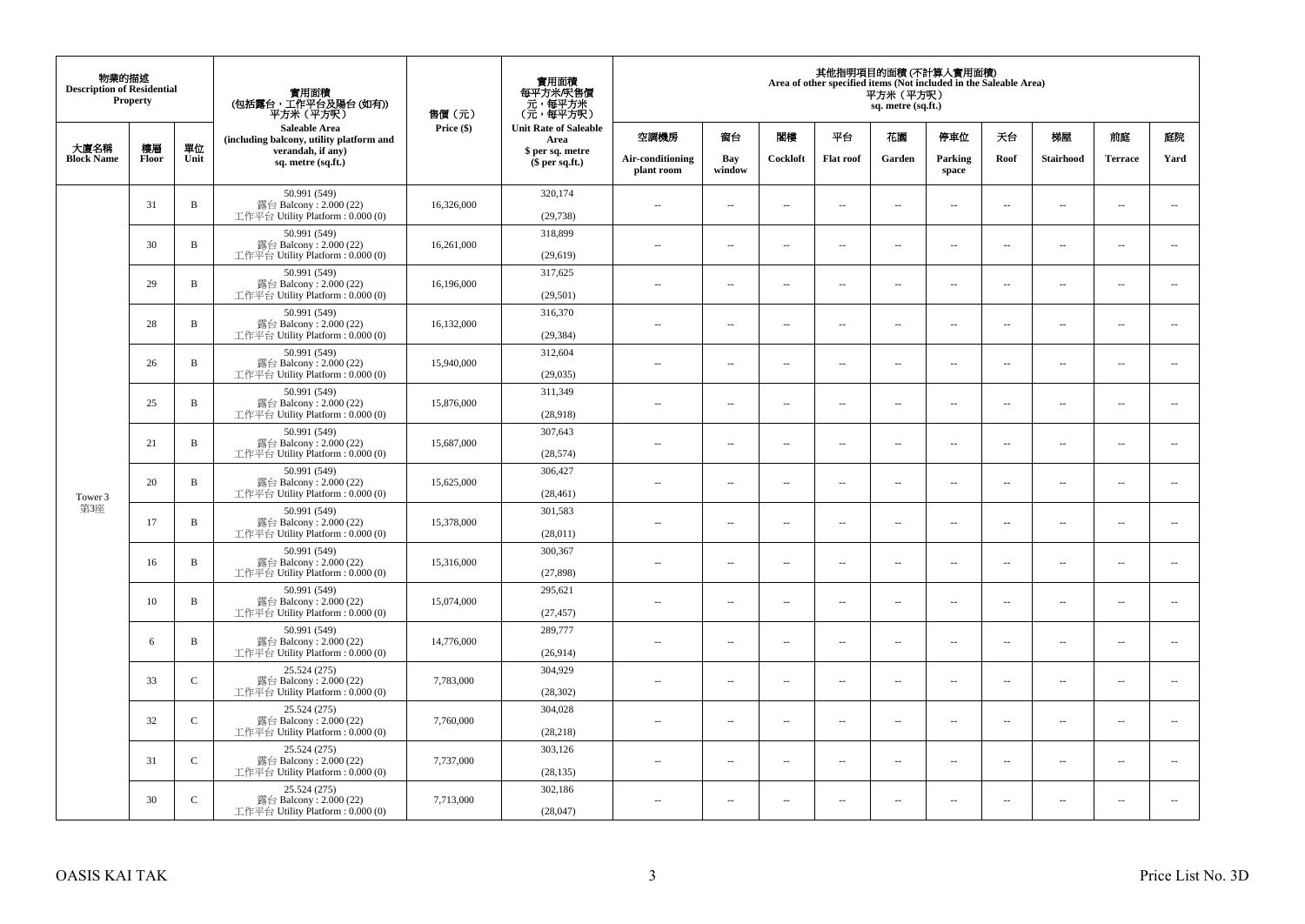| 物業的描述<br><b>Description of Residential</b> | Property |              | 實用面積<br>(包括露台,工作平台及陽台(如有))<br>平方米(平方呎)                                      | 售價(元)      | 實用面積<br>每平方米/呎售價<br>- 元, 每平方米<br>(元, 每平方呎) |                                |                          |                          | Area of other specified items (Not included in the Saleable Area) | 平方米 (平方呎)<br>sq. metre (sq.ft.) | 其他指明項目的面積 (不計算入實用面積)     |                          |                          |                          |                             |
|--------------------------------------------|----------|--------------|-----------------------------------------------------------------------------|------------|--------------------------------------------|--------------------------------|--------------------------|--------------------------|-------------------------------------------------------------------|---------------------------------|--------------------------|--------------------------|--------------------------|--------------------------|-----------------------------|
| 大廈名稱                                       | 樓層       | 單位           | Saleable Area<br>(including balcony, utility platform and                   | Price (\$) | <b>Unit Rate of Saleable</b><br>Area       | 空調機房                           | 窗台                       | 閨樓                       | 平台                                                                | 花園                              | 停車位                      | 天台                       | 梯屋                       | 前庭                       | 庭院                          |
| <b>Block Name</b>                          | Floor    | Unit         | verandah, if any)<br>sq. metre (sq.ft.)                                     |            | \$ per sq. metre<br>\$per sq.ft.)          | Air-conditioning<br>plant room | Bay<br>window            | Cockloft                 | <b>Flat roof</b>                                                  | Garden                          | Parking<br>space         | Roof                     | Stairhood                | <b>Terrace</b>           | Yard                        |
|                                            | 31       | $\, {\bf B}$ | 50.991 (549)<br>露台 Balcony: 2.000 (22)<br>工作平台 Utility Platform: 0.000 (0)  | 16,326,000 | 320,174<br>(29, 738)                       | ÷.                             | $\ldots$                 | $\sim$                   | μ.                                                                | $\overline{a}$                  | $\sim$                   | $\overline{\phantom{a}}$ | Ξ.                       | $\ddot{\phantom{a}}$     | $\overline{\phantom{a}}$    |
|                                            | 30       | $\, {\bf B}$ | 50.991 (549)<br>露台 Balcony: 2.000 (22)<br>工作平台 Utility Platform : 0.000 (0) | 16,261,000 | 318,899<br>(29,619)                        | $\sim$                         | $\sim$                   | $\sim$                   | $\sim$                                                            | $\sim$                          | $\sim$                   | $\sim$                   | $\overline{a}$           | $\sim$                   | $\sim$                      |
|                                            | 29       | $\, {\bf B}$ | 50.991 (549)<br>露台 Balcony: 2.000 (22)<br>工作平台 Utility Platform : 0.000 (0) | 16,196,000 | 317,625<br>(29, 501)                       | $\overline{\phantom{a}}$       | $\overline{\phantom{a}}$ | $\sim$                   | μ.                                                                | $\overline{\phantom{a}}$        | $\overline{\phantom{a}}$ | $\overline{\phantom{a}}$ | Ξ.                       | $\overline{\phantom{a}}$ | $\overline{\phantom{a}}$    |
|                                            | 28       | $\, {\bf B}$ | 50.991 (549)<br>露台 Balcony: 2.000 (22)<br>工作平台 Utility Platform: 0.000 (0)  | 16,132,000 | 316,370<br>(29, 384)                       | $\sim$                         | $\overline{a}$           | $\sim$                   | $\sim$                                                            | $\sim$ $\sim$                   | $\sim$                   | $\sim$                   | $\overline{\phantom{a}}$ | $\sim$                   | $\sim$                      |
|                                            | 26       | $\, {\bf B}$ | 50.991 (549)<br>露台 Balcony: 2.000 (22)<br>工作平台 Utility Platform: 0.000 (0)  | 15,940,000 | 312,604<br>(29, 035)                       |                                | --                       | $\sim$                   | --                                                                | $\overline{\phantom{a}}$        | $\overline{\phantom{a}}$ | $\overline{\phantom{a}}$ | --                       | $\ddotsc$                | $\overline{\phantom{a}}$    |
|                                            | 25       | $\, {\bf B}$ | 50.991 (549)<br>露台 Balcony: 2.000 (22)<br>工作平台 Utility Platform: 0.000 (0)  | 15,876,000 | 311.349<br>(28,918)                        | $\sim$                         | $\sim$                   | $\sim$                   | $\sim$                                                            | $\sim$ $\sim$                   | $\overline{\phantom{a}}$ | $\sim$                   | $\sim$                   | $\overline{\phantom{a}}$ | $\overline{\phantom{a}}$    |
|                                            | 21       | $\mathbf B$  | 50.991 (549)<br>露台 Balcony: 2.000 (22)<br>工作平台 Utility Platform: 0.000 (0)  | 15,687,000 | 307,643<br>(28, 574)                       | ÷.                             | μ.                       | ÷.                       | μ.                                                                | $\sim$                          | $\sim$                   | $\overline{\phantom{a}}$ | Ξ.                       | $\ddot{\phantom{a}}$     | $\sim$                      |
| Tower 3                                    | 20       | $\, {\bf B}$ | 50.991 (549)<br>露台 Balcony: 2.000 (22)<br>工作平台 Utility Platform: 0.000 (0)  | 15,625,000 | 306,427<br>(28, 461)                       | $\overline{\phantom{a}}$       | $\sim$                   | $\sim$                   | $\sim$                                                            | $\sim$ $\sim$                   | $\sim$                   | $\overline{\phantom{a}}$ | $\sim$                   | $\sim$                   | $\mathcal{L}_{\mathcal{A}}$ |
| 第3座                                        | 17       | $\, {\bf B}$ | 50.991 (549)<br>露台 Balcony: 2.000 (22)<br>工作平台 Utility Platform: 0.000 (0)  | 15,378,000 | 301,583<br>(28,011)                        | 44                             | $\overline{\phantom{a}}$ | $\sim$                   | μ.                                                                | $\sim$                          | $\sim$                   | $\overline{\phantom{a}}$ | Ξ.                       | $\ddot{\phantom{a}}$     | $\overline{\phantom{a}}$    |
|                                            | 16       | B            | 50.991 (549)<br>露台 Balcony: 2.000 (22)<br>工作平台 Utility Platform : 0.000 (0) | 15,316,000 | 300,367<br>(27, 898)                       | $\sim$                         | $\overline{a}$           | $\sim$                   | $\sim$                                                            | $\overline{a}$                  | $\sim$                   | $\sim$                   | $\overline{\phantom{a}}$ | $\sim$                   | $\sim$                      |
|                                            | 10       | $\, {\bf B}$ | 50.991 (549)<br>露台 Balcony: 2.000 (22)<br>工作平台 Utility Platform : 0.000 (0) | 15,074,000 | 295,621<br>(27, 457)                       | 44                             | $\overline{\phantom{a}}$ | $\overline{\phantom{a}}$ | --                                                                | $\overline{\phantom{a}}$        | $\overline{\phantom{a}}$ | $\overline{\phantom{a}}$ | $\overline{\phantom{a}}$ | $\overline{\phantom{a}}$ | $\overline{\phantom{a}}$    |
|                                            | 6        | B            | 50.991 (549)<br>露台 Balcony: 2.000 (22)<br>工作平台 Utility Platform : 0.000 (0) | 14,776,000 | 289,777<br>(26,914)                        | $\sim$                         | $\overline{\phantom{a}}$ | $\sim$                   | $\sim$                                                            | $\sim$                          | $\sim$                   | $\overline{\phantom{a}}$ | $\overline{a}$           | $\ddot{\phantom{a}}$     | $\sim$                      |
|                                            | 33       | $\mathbf C$  | 25.524 (275)<br>露台 Balcony: 2.000 (22)<br>工作平台 Utility Platform: 0.000 (0)  | 7,783,000  | 304,929<br>(28, 302)                       | ÷.                             | $\ldots$                 | $\sim$                   | μ.                                                                | $\overline{a}$                  | $\sim$                   | $\overline{\phantom{a}}$ | $\overline{\phantom{a}}$ | $\ddot{\phantom{a}}$     | $\sim$                      |
|                                            | 32       | $\mathbf C$  | 25.524 (275)<br>露台 Balcony: 2.000 (22)<br>工作平台 Utility Platform: 0.000 (0)  | 7,760,000  | 304,028<br>(28, 218)                       | $\sim$                         | $\overline{\phantom{a}}$ | $\sim$                   | $\overline{\phantom{a}}$                                          | $\overline{\phantom{a}}$        | $\overline{\phantom{a}}$ | $\sim$                   | $\overline{\phantom{a}}$ | $\overline{\phantom{a}}$ | $\overline{\phantom{a}}$    |
|                                            | 31       | $\mathsf{C}$ | 25.524 (275)<br>露台 Balcony: 2.000 (22)<br>工作平台 Utility Platform : 0.000 (0) | 7,737,000  | 303,126<br>(28, 135)                       | $\sim$                         | $\overline{\phantom{a}}$ | $\sim$                   | μ.                                                                | $\sim$                          | $\sim$                   | $\overline{\phantom{a}}$ | $\overline{\phantom{a}}$ | $\ddot{\phantom{a}}$     | $\sim$                      |
|                                            | 30       | $\mathsf{C}$ | 25.524 (275)<br>露台 Balcony: 2.000 (22)<br>工作平台 Utility Platform: 0.000 (0)  | 7,713,000  | 302,186<br>(28,047)                        | $\overline{\phantom{a}}$       | $\sim$                   | $\sim$                   | $\sim$                                                            | $\sim$ $\sim$                   | $\sim$                   | $\sim$                   | $\sim$                   | $\sim$                   |                             |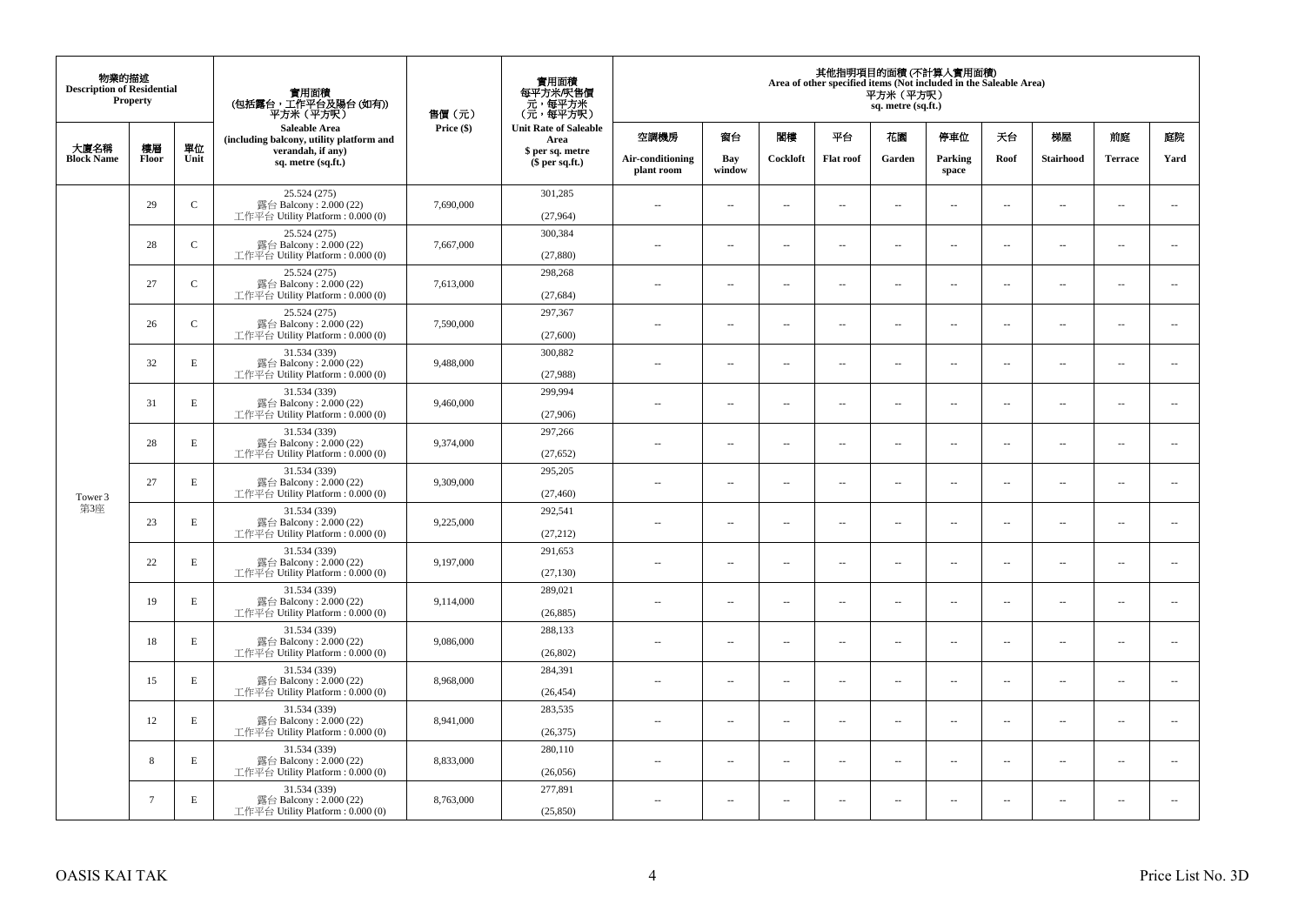| 物業的描述<br><b>Description of Residential</b> | <b>Property</b> |              | 實用面積<br>(包括露台,工作平台及陽台(如有))<br>平方米(平方呎)                                       | 售價(元)      | 實用面積<br>每平方米/呎售價<br>- 元, 每平方米<br>(元, 每平方呎) |                                |                          |                          |                  | 平方米(平方呎)<br>sq. metre (sq.ft.) | 其他指明項目的面積 (不計算入實用面積)<br>Area of other specified items (Not included in the Saleable Area) |                          |                          |                      |                          |
|--------------------------------------------|-----------------|--------------|------------------------------------------------------------------------------|------------|--------------------------------------------|--------------------------------|--------------------------|--------------------------|------------------|--------------------------------|-------------------------------------------------------------------------------------------|--------------------------|--------------------------|----------------------|--------------------------|
| 大廈名稱                                       | 樓層              | 單位           | <b>Saleable Area</b><br>(including balcony, utility platform and             | Price (\$) | <b>Unit Rate of Saleable</b><br>Area       | 空調機房                           | 窗台                       | 閣樓                       | 平台               | 花園                             | 停車位                                                                                       | 天台                       | 梯屋                       | 前庭                   | 庭院                       |
| <b>Block Name</b>                          | Floor           | Unit         | verandah, if any)<br>sq. metre (sq.ft.)                                      |            | \$ per sq. metre<br>$$$ per sq.ft.)        | Air-conditioning<br>plant room | Bay<br>window            | Cockloft                 | <b>Flat</b> roof | Garden                         | Parking<br>space                                                                          | Roof                     | Stairhood                | <b>Terrace</b>       | Yard                     |
|                                            | 29              | $\mathsf{C}$ | 25.524 (275)<br>露台 Balcony: $2.000(22)$<br>工作平台 Utility Platform: 0.000 (0)  | 7,690,000  | 301,285<br>(27,964)                        | $\ddot{\phantom{a}}$           | $\overline{\phantom{a}}$ | $\sim$                   | μ.               | $\sim$                         | $\sim$                                                                                    | $\overline{\phantom{a}}$ | $\overline{\phantom{a}}$ | $\ddot{\phantom{a}}$ | $\overline{\phantom{a}}$ |
|                                            | 28              | $\mathbf C$  | 25.524 (275)<br>露台 Balcony: 2.000 (22)<br>工作平台 Utility Platform: 0.000 (0)   | 7,667,000  | 300,384<br>(27, 880)                       | $\sim$                         | $\overline{\phantom{a}}$ | $\sim$                   | μ.               | $\overline{a}$                 | $\sim$                                                                                    | $\overline{\phantom{a}}$ | $\overline{\phantom{a}}$ | $\ddot{\phantom{a}}$ | $\overline{\phantom{a}}$ |
|                                            | 27              | $\mathbf C$  | 25.524 (275)<br>露台 Balcony: 2.000 (22)<br>工作平台 Utility Platform : $0.000(0)$ | 7,613,000  | 298,268<br>(27, 684)                       | $\sim$                         | $\overline{\phantom{a}}$ | $\sim$                   | μ.               | $\ldots$                       | $\overline{\phantom{a}}$                                                                  | $\overline{\phantom{a}}$ | $\overline{\phantom{a}}$ | $\ldots$             | $\overline{\phantom{a}}$ |
|                                            | 26              | $\mathbf C$  | 25.524 (275)<br>露台 Balcony: 2.000 (22)<br>工作平台 Utility Platform: 0.000 (0)   | 7,590,000  | 297,367<br>(27,600)                        | $\sim$                         | $\sim$                   | $\sim$                   | $\sim$           | $\sim$ $\sim$                  | $\sim$                                                                                    | $\overline{\phantom{a}}$ | $\sim$                   | $\sim$               | $\overline{\phantom{a}}$ |
|                                            | 32              | $\mathbf E$  | 31.534 (339)<br>露台 Balcony: 2.000 (22)<br>工作平台 Utility Platform: 0.000 (0)   | 9,488,000  | 300,882<br>(27,988)                        |                                | $\overline{\phantom{a}}$ | $\sim$                   | $\overline{a}$   | $\sim$                         | $\sim$                                                                                    | $\overline{\phantom{a}}$ | Ξ.                       | $\ddot{\phantom{a}}$ | $\sim$                   |
|                                            | 31              | E            | 31.534 (339)<br>露台 Balcony: 2.000 (22)<br>工作平台 Utility Platform: 0.000 (0)   | 9,460,000  | 299,994<br>(27,906)                        | $\sim$                         | $\overline{a}$           | $\sim$                   | $\sim$           | $\overline{a}$                 | $\sim$                                                                                    | $\sim$                   | $\overline{a}$           | $\overline{a}$       | $\sim$                   |
|                                            | 28              | $\mathbf E$  | 31.534 (339)<br>露台 Balcony: 2.000 (22)<br>工作平台 Utility Platform: 0.000 (0)   | 9,374,000  | 297,266<br>(27, 652)                       | $\sim$                         | ۰.                       | $\sim$                   | $\sim$           | $\overline{\phantom{a}}$       | $\sim$                                                                                    | $\overline{\phantom{a}}$ | $\overline{\phantom{a}}$ | $\sim$               | $\overline{\phantom{a}}$ |
| Tower 3                                    | 27              | E            | 31.534 (339)<br>露台 Balcony: 2.000 (22)<br>工作平台 Utility Platform: 0.000 (0)   | 9,309,000  | 295,205<br>(27, 460)                       | $\sim$                         | $\sim$                   | $\sim$                   | $\sim$           | $\sim$                         | $\sim$                                                                                    | $\overline{\phantom{a}}$ | $\sim$                   | $\sim$               | $\sim$                   |
| 第3座                                        | 23              | $\mathbf E$  | 31.534 (339)<br>露台 Balcony: 2.000 (22)<br>工作平台 Utility Platform: 0.000 (0)   | 9,225,000  | 292,541<br>(27, 212)                       | $\overline{\phantom{a}}$       | $\overline{\phantom{a}}$ | $\sim$                   | μ.               | $\sim$                         | $\sim$                                                                                    | $\overline{\phantom{a}}$ | $\sim$                   | $\ddot{\phantom{a}}$ | $\overline{\phantom{a}}$ |
|                                            | 22              | E            | 31.534 (339)<br>露台 Balcony: 2.000 (22)<br>工作平台 Utility Platform: 0.000 (0)   | 9,197,000  | 291,653<br>(27, 130)                       | $\sim$                         | $\overline{\phantom{a}}$ | $\sim$                   | μ.               | $\overline{a}$                 | $\sim$                                                                                    | $\sim$                   | $\sim$                   | $\ddot{\phantom{a}}$ | $\overline{\phantom{a}}$ |
|                                            | 19              | $\mathbf E$  | 31.534 (339)<br>露台 Balcony: 2.000 (22)<br>工作平台 Utility Platform : $0.000(0)$ | 9,114,000  | 289,021<br>(26, 885)                       | $\overline{\phantom{a}}$       | $\ldots$                 | $\sim$                   | $\sim$           | $\overline{\phantom{a}}$       | $\overline{\phantom{a}}$                                                                  | $\overline{\phantom{a}}$ | $\overline{a}$           | $\ldots$             | $\sim$                   |
|                                            | 18              | E            | 31.534 (339)<br>露台 Balcony: 2.000 (22)<br>工作平台 Utility Platform: 0.000 (0)   | 9,086,000  | 288,133<br>(26, 802)                       | ×.                             | $\sim$                   | $\sim$                   | $\sim$           | $\sim$ $\sim$                  | $\sim$                                                                                    | $\overline{\phantom{a}}$ | $\sim$                   | $\sim$               | $\sim$                   |
|                                            | 15              | E            | 31.534 (339)<br>露台 Balcony: 2.000 (22)<br>工作平台 Utility Platform : 0.000 (0)  | 8,968,000  | 284,391<br>(26, 454)                       | $\overline{\phantom{a}}$       | $\overline{\phantom{a}}$ | $\sim$                   | $\overline{a}$   | $\overline{\phantom{a}}$       | $\sim$                                                                                    | $\sim$                   | $\overline{\phantom{a}}$ | $\ddot{\phantom{a}}$ | $\sim$                   |
|                                            | 12              | E            | 31.534 (339)<br>露台 Balcony: 2.000 (22)<br>工作平台 Utility Platform: 0.000 (0)   | 8,941,000  | 283,535<br>(26, 375)                       | $\sim$                         | $\overline{\phantom{a}}$ | $\sim$                   | $\sim$           | $\overline{a}$                 | $\sim$                                                                                    | $\sim$                   | $\overline{\phantom{a}}$ | $\ddot{\phantom{a}}$ | $\sim$                   |
|                                            | 8               | $\mathbf E$  | 31.534 (339)<br>露台 Balcony: 2.000 (22)<br>工作平台 Utility Platform: 0.000 (0)   | 8,833,000  | 280,110<br>(26,056)                        | $\sim$ $-$                     | $\overline{\phantom{a}}$ | $\sim$                   | μ.               | $\overline{\phantom{a}}$       | $\sim$                                                                                    | $\overline{\phantom{a}}$ | $\overline{\phantom{a}}$ | $\ddot{\phantom{a}}$ | $\sim$                   |
|                                            | $\tau$          | $\mathbf E$  | 31.534 (339)<br>露台 Balcony: 2.000 (22)<br>工作平台 Utility Platform: 0.000 (0)   | 8,763,000  | 277,891<br>(25.850)                        | 44                             | $\overline{\phantom{a}}$ | $\overline{\phantom{a}}$ | --               | $\overline{\phantom{a}}$       | $\overline{\phantom{a}}$                                                                  | $\overline{\phantom{a}}$ | $\overline{\phantom{a}}$ | $\ddotsc$            | $\sim$                   |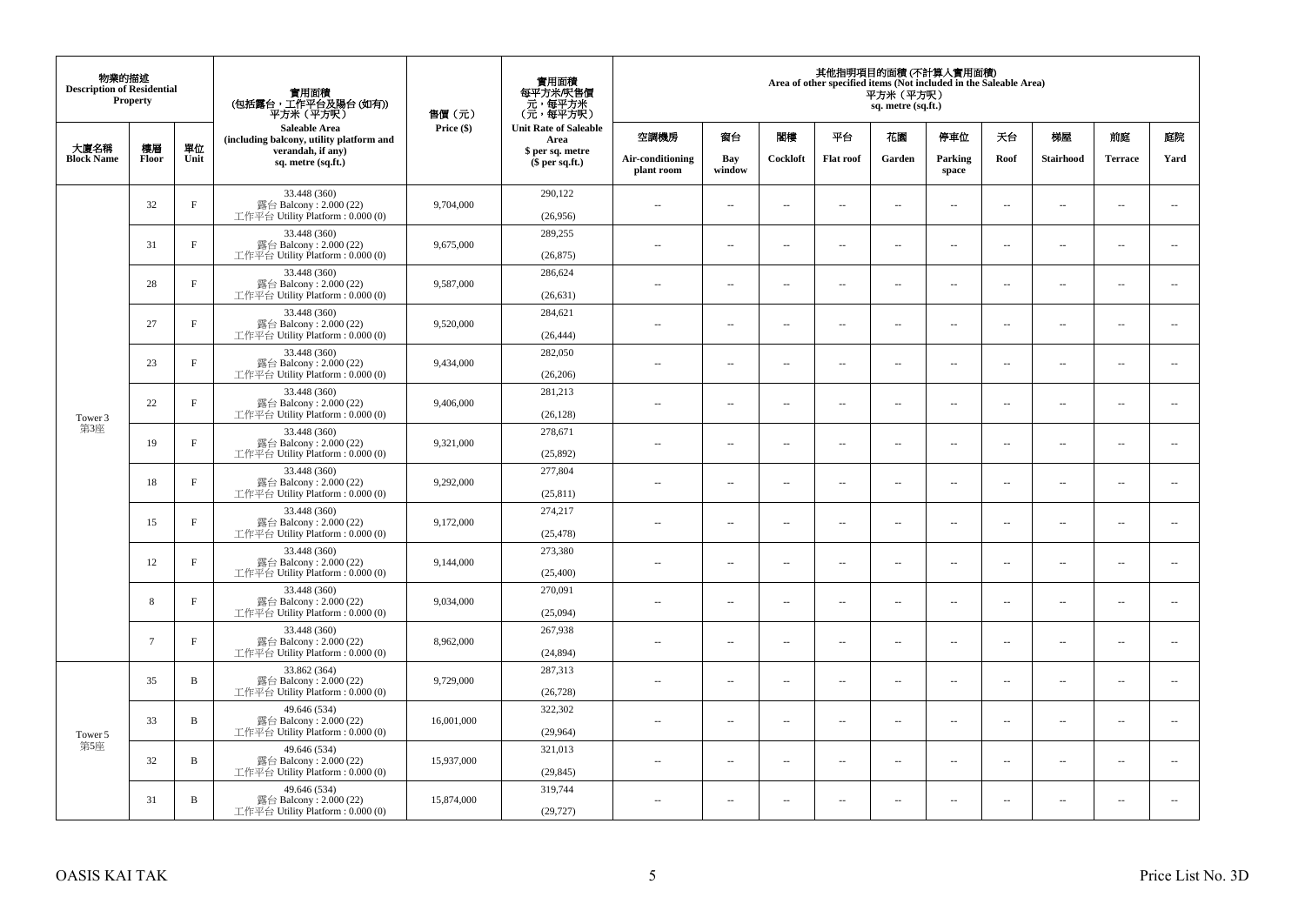| 物業的描述<br><b>Description of Residential</b> | <b>Property</b> |              | 實用面積<br>(包括露台,工作平台及陽台(如有))<br>平方米 (平方呎)                                       | 售價(元)      | 實用面積<br>每平方米/呎售價<br>元,每平方米<br>(元,每平方呎) |                                |                          |                          |                          | 平方米 (平方呎)<br>sq. metre (sq.ft.) | 其他指明項目的面積 (不計算入實用面積)<br>Area of other specified items (Not included in the Saleable Area) |                          |                          |                |                          |
|--------------------------------------------|-----------------|--------------|-------------------------------------------------------------------------------|------------|----------------------------------------|--------------------------------|--------------------------|--------------------------|--------------------------|---------------------------------|-------------------------------------------------------------------------------------------|--------------------------|--------------------------|----------------|--------------------------|
|                                            |                 |              | <b>Saleable Area</b><br>(including balcony, utility platform and              | Price (\$) | <b>Unit Rate of Saleable</b><br>Area   | 空調機房                           | 窗台                       | 閣樓                       | 平台                       | 花園                              | 停車位                                                                                       | 天台                       | 梯屋                       | 前庭             | 庭院                       |
| 大廈名稱<br><b>Block Name</b>                  | 樓層<br>Floor     | 單位<br>Unit   | verandah, if any)<br>sq. metre (sq.ft.)                                       |            | \$ per sq. metre<br>$$$ per sq.ft.)    | Air-conditioning<br>plant room | Bay<br>window            | Cockloft                 | <b>Flat roof</b>         | Garden                          | Parking<br>space                                                                          | Roof                     | Stairhood                | <b>Terrace</b> | Yard                     |
|                                            | 32              | $\rm F$      | 33.448 (360)<br>露台 Balcony: 2.000 (22)<br>工作平台 Utility Platform : 0.000 (0)   | 9,704,000  | 290,122<br>(26,956)                    | $\sim$                         | $\overline{\phantom{a}}$ | $\sim$                   | $\sim$                   | $\overline{a}$                  | $\sim$                                                                                    | $\overline{\phantom{a}}$ | $\cdots$                 | $\sim$         | $\sim$                   |
|                                            | 31              | $_{\rm F}$   | 33.448 (360)<br>露台 Balcony: 2.000 (22)<br>工作平台 Utility Platform: 0.000 (0)    | 9,675,000  | 289,255<br>(26, 875)                   | $\overline{\phantom{a}}$       | $\overline{\phantom{a}}$ | $\sim$                   | $\sim$                   | $\overline{a}$                  | $\sim$                                                                                    | $\sim$                   | $\overline{\phantom{a}}$ | $\sim$         | $\sim$                   |
|                                            | 28              | $_{\rm F}$   | 33.448 (360)<br>露台 Balcony: 2.000 (22)<br>工作平台 Utility Platform: 0.000 (0)    | 9,587,000  | 286,624<br>(26, 631)                   | $\sim$ $\sim$                  | $\overline{\phantom{a}}$ | $\sim$                   | $\overline{\phantom{a}}$ | ш.                              | $\overline{\phantom{a}}$                                                                  | $\overline{\phantom{a}}$ | $\overline{\phantom{a}}$ | $\sim$         | $\overline{\phantom{a}}$ |
|                                            | 27              | $\mathbf{F}$ | 33.448 (360)<br>露台 Balcony: 2.000 (22)<br>工作平台 Utility Platform : $0.000(0)$  | 9,520,000  | 284,621<br>(26, 444)                   | $\sim$                         | $\overline{a}$           | $\sim$                   | $\sim$                   | $\sim$                          | $\sim$                                                                                    | $\sim$                   | $\sim$                   | $\sim$         | $\sim$                   |
|                                            | 23              | $_{\rm F}$   | 33.448 (360)<br>露台 Balcony: 2.000 (22)<br>工作平台 Utility Platform : $0.000(0)$  | 9,434,000  | 282,050<br>(26, 206)                   |                                | $\sim$                   | ÷.                       | $\sim$                   | ш.                              | $\sim$                                                                                    | $\sim$                   | $\overline{\phantom{a}}$ | ÷.             | $\sim$                   |
| Tower 3<br>第3座                             | 22              | $_{\rm F}$   | 33.448 (360)<br>露台 Balcony: 2.000 (22)<br>工作平台 Utility Platform: 0.000 (0)    | 9,406,000  | 281,213<br>(26, 128)                   | ٠.                             | $\overline{\phantom{a}}$ | $\sim$                   | $\sim$                   | $\overline{\phantom{a}}$        | $\sim$                                                                                    | $\sim$                   | $\overline{\phantom{a}}$ | $\sim$         | $\sim$                   |
|                                            | 19              | $\rm F$      | 33.448 (360)<br>露台 Balcony: 2.000 (22)<br>工作平台 Utility Platform : 0.000 (0)   | 9,321,000  | 278,671<br>(25,892)                    | $\sim$                         | $\overline{\phantom{a}}$ | $\overline{\phantom{a}}$ | $\overline{\phantom{a}}$ | --                              | $\overline{\phantom{a}}$                                                                  | $\sim$                   | $\overline{\phantom{a}}$ | $\sim$         | $\sim$                   |
|                                            | 18              | $_{\rm F}$   | 33.448 (360)<br>露台 Balcony: 2.000 (22)<br>工作平台 Utility Platform: 0.000 (0)    | 9,292,000  | 277,804<br>(25, 811)                   | $\sim$                         | $\overline{a}$           | $\sim$                   | $\sim$                   | $\sim$                          | $\sim$                                                                                    | $\sim$                   | $\sim$                   | $\sim$         | $\sim$                   |
|                                            | 15              | $_{\rm F}$   | 33.448 (360)<br>露台 Balcony: $2.000(22)$<br>工作平台 Utility Platform : $0.000(0)$ | 9,172,000  | 274,217<br>(25, 478)                   | $-$                            | $\sim$                   | ÷.                       | $\sim$                   | $\overline{a}$                  | $\sim$                                                                                    | $\overline{\phantom{a}}$ | $\overline{\phantom{a}}$ | $\sim$         | $\sim$                   |
|                                            | 12              | $\rm F$      | 33.448 (360)<br>露台 Balcony: 2.000 (22)<br>工作平台 Utility Platform: 0.000 (0)    | 9,144,000  | 273,380<br>(25,400)                    | $\overline{\phantom{a}}$       | $\overline{\phantom{a}}$ | $\sim$                   | $\sim$                   | $\overline{a}$                  | $\sim$                                                                                    | $\sim$                   | $\overline{\phantom{a}}$ | $\sim$         | $\sim$                   |
|                                            | 8               | $\rm F$      | 33.448 (360)<br>露台 Balcony: 2.000 (22)<br>工作平台 Utility Platform: 0.000 (0)    | 9,034,000  | 270,091<br>(25,094)                    | $\overline{\phantom{a}}$       | $\overline{\phantom{a}}$ | $\sim$                   | $\sim$                   | μ.                              | $\overline{\phantom{a}}$                                                                  | $\overline{\phantom{a}}$ | $\overline{\phantom{a}}$ | $\sim$         | $\sim$                   |
|                                            | $7\phantom{.0}$ | $\mathbf{F}$ | 33.448 (360)<br>露台 Balcony: 2.000 (22)<br>工作平台 Utility Platform: 0.000 (0)    | 8,962,000  | 267,938<br>(24, 894)                   | $\overline{a}$                 | $\overline{\phantom{a}}$ | $\sim$                   | $\sim$                   | $\overline{\phantom{a}}$        | $\sim$                                                                                    | $\overline{\phantom{a}}$ | $\sim$                   | $\sim$         | $\sim$                   |
|                                            | 35              | B            | 33.862 (364)<br>露台 Balcony: 2.000 (22)<br>工作平台 Utility Platform : $0.000(0)$  | 9,729,000  | 287,313<br>(26, 728)                   | $\overline{\phantom{a}}$       | $\sim$                   | $\sim$                   | $\sim$                   | μ.                              | $\sim$                                                                                    | $\sim$                   | $\overline{\phantom{a}}$ | $\sim$         | $\sim$                   |
| Tower 5<br>第5座                             | 33              | B            | 49.646 (534)<br>露台 Balcony: 2.000 (22)<br>工作平台 Utility Platform: 0.000 (0)    | 16,001,000 | 322,302<br>(29,964)                    | $\sim$                         | $\overline{\phantom{a}}$ | $\sim$                   | $\sim$                   | $\overline{a}$                  | $\sim$                                                                                    | $\sim$                   | $\overline{\phantom{a}}$ | $\sim$         | $\sim$                   |
|                                            | 32              | B            | 49.646 (534)<br>露台 Balcony: 2.000 (22)<br>工作平台 Utility Platform : $0.000(0)$  | 15,937,000 | 321,013<br>(29, 845)                   | $-$                            | $\overline{\phantom{a}}$ | $\sim$                   | $\sim$                   | ۰.                              | $\sim$                                                                                    | $\overline{\phantom{a}}$ | $\overline{\phantom{a}}$ | $\sim$         | $\sim$                   |
|                                            | 31              | B            | 49.646 (534)<br>露台 Balcony: 2.000 (22)<br>工作平台 Utility Platform: 0.000 (0)    | 15,874,000 | 319,744<br>(29, 727)                   | ٠.                             | $\overline{\phantom{a}}$ | 4                        | $\overline{\phantom{a}}$ | --                              | $\sim$                                                                                    | $\overline{\phantom{a}}$ | $\overline{\phantom{a}}$ | $\sim$         | $\sim$                   |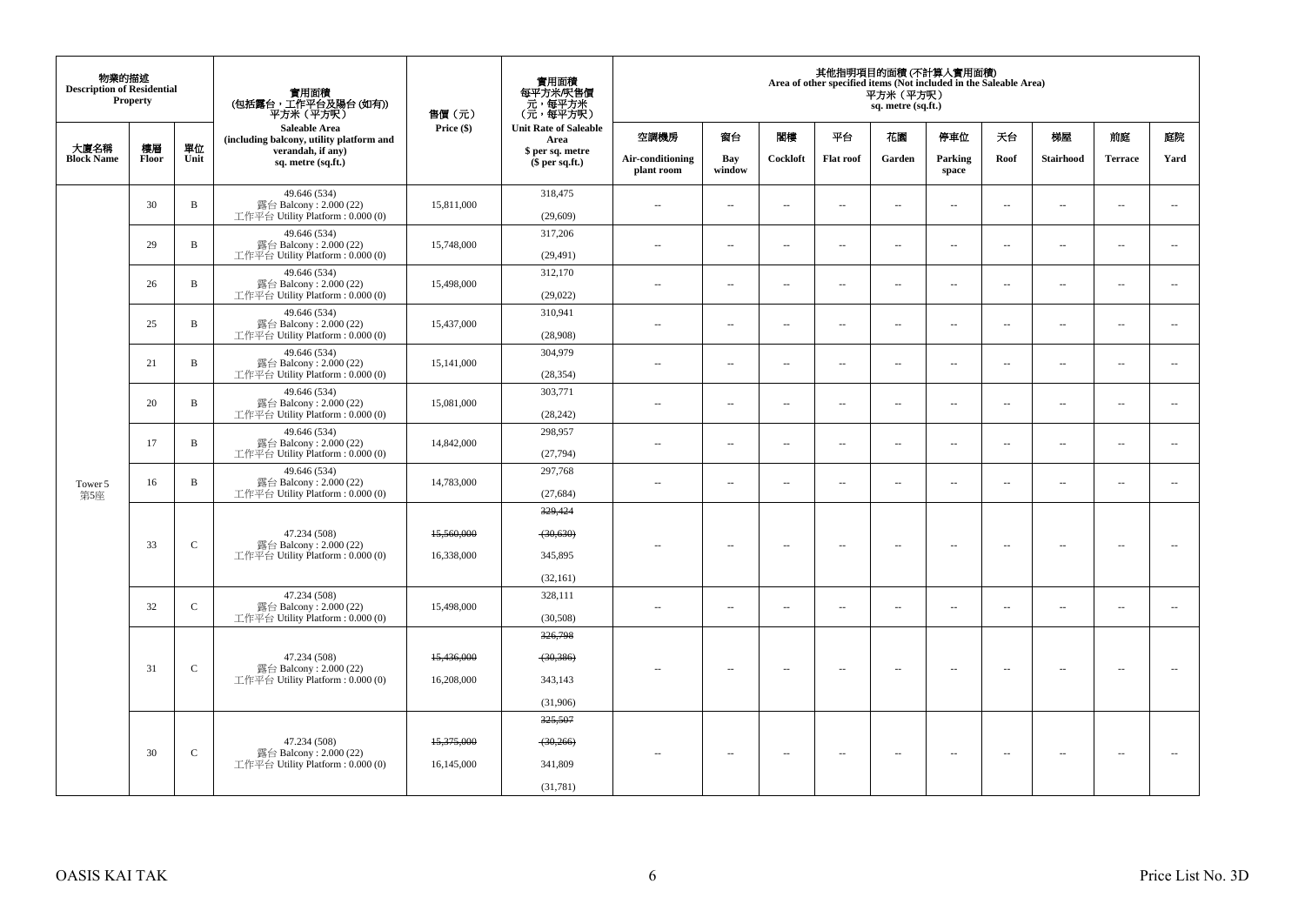| 物業的描述<br><b>Description of Residential</b> | Property    |               | 實用面積<br>(包括露台,工作平台及陽台(如有))<br>平方米(平方呎)                                       | 售價(元)      | 實用面積<br>每平方米/呎售價<br>ー・カバント<br>(元・每平方米)<br>(元・每平方呎) |                                |                          |                          |                          | 平方米 (平方呎)<br>sq. metre (sq.ft.) | 其他指明項目的面積 (不計算入實用面積)<br>Area of other specified items (Not included in the Saleable Area) |                          |                          |                |                          |
|--------------------------------------------|-------------|---------------|------------------------------------------------------------------------------|------------|----------------------------------------------------|--------------------------------|--------------------------|--------------------------|--------------------------|---------------------------------|-------------------------------------------------------------------------------------------|--------------------------|--------------------------|----------------|--------------------------|
|                                            |             |               | Saleable Area<br>(including balcony, utility platform and                    | Price (\$) | <b>Unit Rate of Saleable</b><br>Area               | 空調機房                           | 窗台                       | 関樓                       | 平台                       | 花園                              | 停車位                                                                                       | 夭台                       | 梯屋                       | 前庭             | 庭院                       |
| 大廈名稱<br><b>Block Name</b>                  | 樓層<br>Floor | 單位<br>Unit    | verandah, if any)<br>sq. metre (sq.ft.)                                      |            | \$ per sq. metre<br>$$$ per sq.ft.)                | Air-conditioning<br>plant room | Bay<br>window            | Cockloft                 | <b>Flat roof</b>         | Garden                          | Parking<br>space                                                                          | Roof                     | Stairhood                | <b>Terrace</b> | Yard                     |
|                                            | 30          | $\, {\bf B}$  | 49.646 (534)<br>露台 Balcony: 2.000 (22)<br>工作平台 Utility Platform : $0.000(0)$ | 15,811,000 | 318,475<br>(29, 609)                               | ÷.                             | $\sim$                   | $\sim$                   | $\sim$                   | μ.                              | $\ddot{\phantom{a}}$                                                                      | $\overline{\phantom{a}}$ | $\overline{\phantom{a}}$ | $\bar{a}$      | $\sim$                   |
|                                            | 29          | B             | 49.646 (534)<br>露台 Balcony: 2.000 (22)<br>工作平台 Utility Platform: 0.000 (0)   | 15,748,000 | 317,206<br>(29, 491)                               | $\sim$                         | ÷.                       | $\overline{\phantom{a}}$ | $\sim$                   | $\overline{a}$                  | $\sim$                                                                                    | $\overline{\phantom{a}}$ | $\overline{a}$           | $\sim$         | $\sim$                   |
|                                            | 26          | B             | 49.646 (534)<br>露台 Balcony: 2.000 (22)<br>工作平台 Utility Platform: 0.000 (0)   | 15,498,000 | 312,170<br>(29, 022)                               | $\sim$                         | $\overline{\phantom{a}}$ | $\sim$                   | $\overline{\phantom{a}}$ | μ.                              | $\sim$                                                                                    | $\overline{\phantom{a}}$ | $\overline{\phantom{a}}$ | $\sim$         | $\sim$                   |
|                                            | 25          | B             | 49.646 (534)<br>露台 Balcony: 2.000 (22)<br>工作平台 Utility Platform : $0.000(0)$ | 15,437,000 | 310,941<br>(28,908)                                | $\sim$                         | $\overline{\phantom{a}}$ | $\sim$                   | $\sim$                   | $\overline{a}$                  | $\sim$                                                                                    | $\overline{\phantom{a}}$ | $\overline{a}$           | $\sim$         | $\sim$                   |
|                                            | 21          | B             | 49.646 (534)<br>露台 Balcony: 2.000 (22)<br>工作平台 Utility Platform : $0.000(0)$ | 15,141,000 | 304,979<br>(28, 354)                               | $\sim$                         | $\sim$                   | $\sim$                   | $\sim$                   | μ.                              | $\ddot{\phantom{a}}$                                                                      | $\sim$                   | $\overline{\phantom{a}}$ | $\bar{a}$      | $\sim$                   |
|                                            | 20          | B             | 49.646 (534)<br>露台 Balcony: 2.000 (22)<br>工作平台 Utility Platform: 0.000 (0)   | 15,081,000 | 303,771<br>(28, 242)                               | $\sim$ $-$                     | $\sim$                   | $\sim$                   | $\sim$                   | $\overline{\phantom{a}}$        | $\sim$                                                                                    | $\overline{\phantom{a}}$ | $\overline{\phantom{a}}$ | $\sim$         | $\sim$                   |
|                                            | 17          | B             | 49.646 (534)<br>露台 Balcony: 2.000 (22)<br>工作平台 Utility Platform: 0.000 (0)   | 14,842,000 | 298,957<br>(27,794)                                | $\sim$                         | $\sim$                   | $\sim$                   | $\sim$                   | $\overline{a}$                  | $\sim$                                                                                    | $\overline{\phantom{a}}$ | $\overline{a}$           | $\sim$         | $\sim$                   |
| Tower 5<br>第5座                             | 16          | B             | 49.646 (534)<br>露台 Balcony: 2.000 (22)<br>工作平台 Utility Platform: 0.000 (0)   | 14,783,000 | 297,768<br>(27, 684)                               | $\sim$                         | $\sim$                   | $\sim$                   | $\sim$                   | μ.                              | $\sim$                                                                                    | $\overline{\phantom{a}}$ | $\overline{\phantom{a}}$ | $\sim$         | $\sim$                   |
|                                            |             |               | 47.234 (508)                                                                 | 15,560,000 | 329,424<br>(30, 630)                               |                                |                          |                          |                          |                                 |                                                                                           |                          |                          |                |                          |
|                                            | 33          | $\mathsf{C}$  | 露台 Balcony: 2.000 (22)<br>工作平台 Utility Platform : $0.000(0)$                 | 16,338,000 | 345,895<br>(32, 161)                               | $\sim$                         | $\sim$                   | $\sim$                   | $\sim$                   | $\overline{\phantom{a}}$        | $\sim$                                                                                    | $\overline{\phantom{a}}$ | $\overline{\phantom{a}}$ | $\sim$         | $\overline{\phantom{a}}$ |
|                                            | 32          | $\mathbf C$   | 47.234 (508)<br>露台 Balcony: 2.000 (22)<br>工作平台 Utility Platform : $0.000(0)$ | 15,498,000 | 328,111<br>(30,508)                                | $\sim$                         | $\sim$                   | $\sim$                   | $\sim$                   | $\overline{\phantom{a}}$        | $\sim$                                                                                    | $\overline{\phantom{a}}$ | $\overline{\phantom{a}}$ | $\sim$         | $\overline{\phantom{a}}$ |
|                                            |             |               | 47.234 (508)                                                                 | 15,436,000 | 326,798<br>(30, 386)                               |                                |                          |                          |                          |                                 |                                                                                           |                          |                          |                |                          |
|                                            | 31          | $\mathcal{C}$ | 露台 Balcony: 2.000 (22)<br>工作平台 Utility Platform : $0.000(0)$                 | 16,208,000 | 343,143<br>(31,906)                                | $\sim$                         | $\overline{\phantom{a}}$ | $\sim$                   | $\overline{\phantom{a}}$ | $\overline{\phantom{a}}$        | $\sim$                                                                                    | $\sim$                   | $\sim$                   | н.             | $\sim$                   |
|                                            |             |               | 47.234 (508)                                                                 | 15,375,000 | 325,507<br>(30,266)                                |                                |                          |                          |                          |                                 |                                                                                           |                          |                          |                |                          |
|                                            | 30          | $\mathbf C$   | 露台 Balcony: 2.000 (22)<br>工作平台 Utility Platform : $0.000(0)$                 | 16,145,000 | 341,809<br>(31,781)                                | $\sim$ $\sim$                  | $\sim$                   | $\sim$                   | $\sim$                   | $\overline{\phantom{a}}$        | $\sim$                                                                                    | $\overline{\phantom{a}}$ | $\sim$                   | $\sim$         |                          |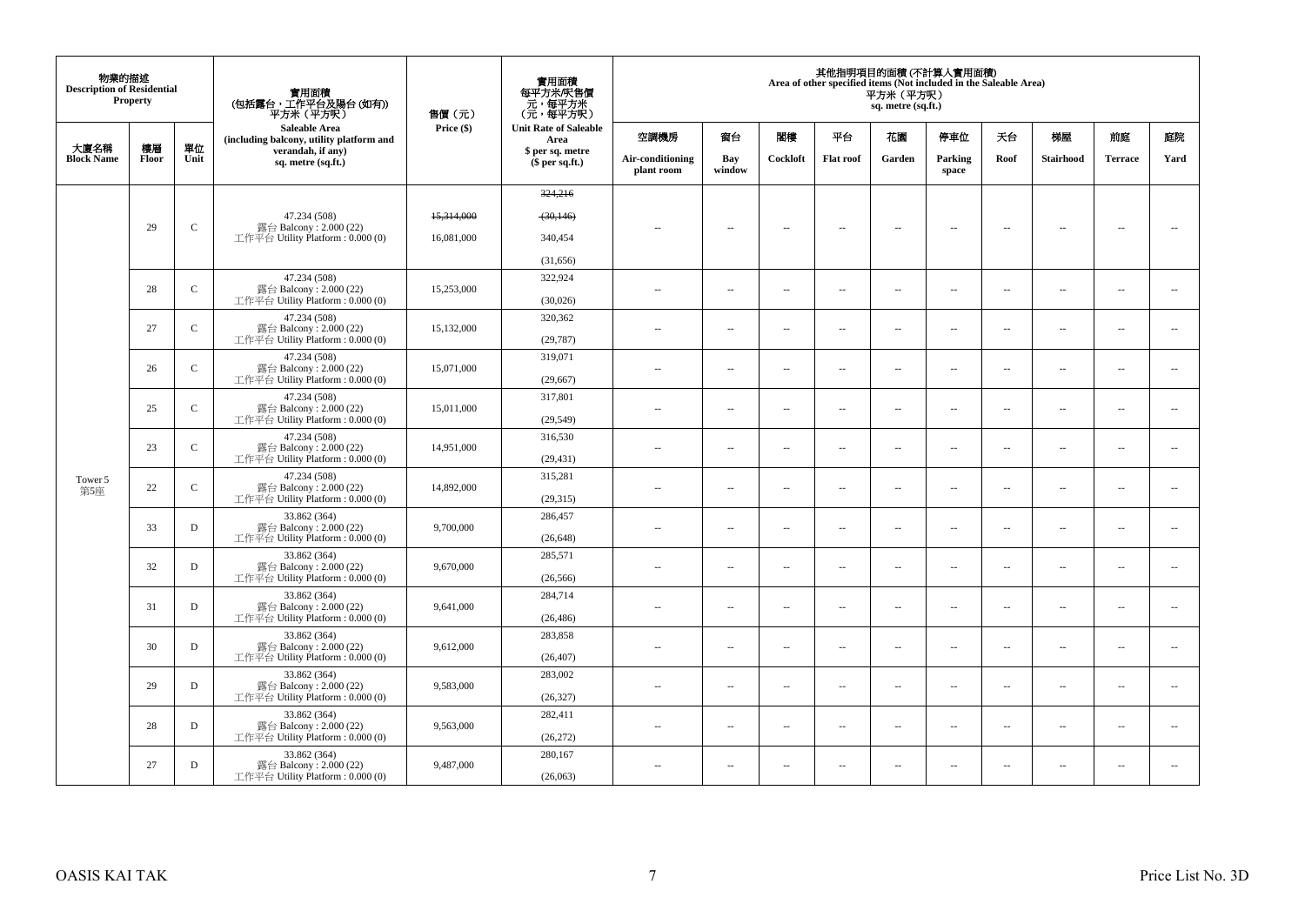| 物業的描述<br><b>Description of Residential</b> | Property    |              | 實用面積<br>(包括露台,工作平台及陽台(如有))<br>平方米(平方呎)                       | 售價(元)      | 實用面積<br>每平方米/呎售價<br>- 元, 每平方米<br>(元, 每平方呎) |                                |                          |                          |                          | 平方米 (平方呎)<br>sq. metre (sq.ft.) | 其他指明項目的面積 (不計算入實用面積)<br>Area of other specified items (Not included in the Saleable Area) |                          |                          |                          |                          |
|--------------------------------------------|-------------|--------------|--------------------------------------------------------------|------------|--------------------------------------------|--------------------------------|--------------------------|--------------------------|--------------------------|---------------------------------|-------------------------------------------------------------------------------------------|--------------------------|--------------------------|--------------------------|--------------------------|
|                                            |             |              | Saleable Area<br>(including balcony, utility platform and    | Price (\$) | <b>Unit Rate of Saleable</b><br>Area       | 空調機房                           | 窗台                       | 関樓                       | 平台                       | 花園                              | 停車位                                                                                       | 天台                       | 梯屋                       | 前庭                       | 庭院                       |
| 大廈名稱<br><b>Block Name</b>                  | 樓層<br>Floor | 單位<br>Unit   | verandah, if any)<br>sq. metre (sq.ft.)                      |            | \$ per sq. metre<br>$$$ per sq.ft.)        | Air-conditioning<br>plant room | Bay<br>window            | Cockloft                 | <b>Flat roof</b>         | Garden                          | Parking<br>space                                                                          | Roof                     | <b>Stairhood</b>         | <b>Terrace</b>           | Yard                     |
|                                            |             |              |                                                              |            | 324,216                                    |                                |                          |                          |                          |                                 |                                                                                           |                          |                          |                          |                          |
|                                            |             |              | 47.234 (508)                                                 | 15,314,000 | (30, 146)                                  |                                |                          |                          |                          |                                 |                                                                                           |                          |                          |                          |                          |
|                                            | 29          | $\mathbf C$  | 露台 Balcony: 2.000 (22)<br>工作平台 Utility Platform : $0.000(0)$ | 16,081,000 | 340,454                                    | $\sim$                         | $\overline{\phantom{a}}$ | $\sim$                   | $\overline{\phantom{a}}$ | $\overline{\phantom{a}}$        | $\overline{\phantom{a}}$                                                                  | $\overline{\phantom{a}}$ | $\overline{\phantom{a}}$ | $\sim$                   | $\overline{\phantom{a}}$ |
|                                            |             |              |                                                              |            | (31,656)                                   |                                |                          |                          |                          |                                 |                                                                                           |                          |                          |                          |                          |
|                                            | 28          | $\mathsf{C}$ | 47.234 (508)<br>露台 Balcony: 2.000 (22)                       | 15,253,000 | 322,924                                    |                                |                          |                          |                          |                                 |                                                                                           |                          |                          |                          |                          |
|                                            |             |              | 工作平台 Utility Platform : $0.000(0)$                           |            | (30,026)                                   | $\sim$ $-$                     | $\overline{\phantom{a}}$ | $\overline{\phantom{a}}$ | $\overline{\phantom{a}}$ | $\overline{\phantom{a}}$        | $\overline{\phantom{a}}$                                                                  | $\overline{\phantom{a}}$ | $\overline{\phantom{a}}$ | $\overline{\phantom{a}}$ | $\overline{\phantom{a}}$ |
|                                            | 27          | $\mathbf C$  | 47.234 (508)<br>露台 Balcony: 2.000 (22)                       | 15,132,000 | 320,362                                    | $\sim$ $\sim$                  | $\overline{\phantom{a}}$ | $\sim$                   | $\sim$                   | $\overline{\phantom{a}}$        | $\sim$                                                                                    | $\sim$                   | $\overline{\phantom{a}}$ | $\overline{\phantom{a}}$ | $\sim$                   |
|                                            |             |              | 工作平台 Utility Platform: 0.000 (0)                             |            | (29, 787)                                  |                                |                          |                          |                          |                                 |                                                                                           |                          |                          |                          |                          |
|                                            | 26          | $\mathbf{C}$ | 47.234 (508)<br>露台 Balcony: 2.000 (22)                       | 15,071,000 | 319,071                                    | $\sim$                         | $\sim$                   | $\sim$                   | $\sim$                   | μ.                              | $\sim$                                                                                    | $\sim$                   | $\overline{\phantom{a}}$ | $\sim$                   | $\sim$                   |
|                                            |             |              | 工作平台 Utility Platform: 0.000 (0)                             |            | (29, 667)                                  |                                |                          |                          |                          |                                 |                                                                                           |                          |                          |                          |                          |
|                                            | 25          | $\mathbf{C}$ | 47.234 (508)<br>露台 Balcony: 2.000 (22)                       | 15,011,000 | 317,801                                    | $\sim$ $-$                     | $\overline{\phantom{a}}$ | $\sim$                   | $\overline{\phantom{a}}$ | $\overline{\phantom{a}}$        | $\sim$                                                                                    | $\overline{\phantom{a}}$ | $\overline{\phantom{a}}$ | $\sim$                   | $\overline{\phantom{a}}$ |
|                                            |             |              | 工作平台 Utility Platform: 0.000 (0)                             |            | (29, 549)                                  |                                |                          |                          |                          |                                 |                                                                                           |                          |                          |                          |                          |
|                                            | 23          | $\mathbf{C}$ | 47.234 (508)<br>露台 Balcony: 2.000 (22)                       | 14,951,000 | 316,530                                    | $\sim$ $\sim$                  | $\overline{a}$           | $\sim$                   | $\sim$                   | $\sim$                          | $\sim$                                                                                    | $\overline{\phantom{a}}$ | $\sim$                   | $\sim$                   | $\overline{\phantom{a}}$ |
|                                            |             |              | 工作平台 Utility Platform: 0.000 (0)<br>47.234 (508)             |            | (29, 431)<br>315,281                       |                                |                          |                          |                          |                                 |                                                                                           |                          |                          |                          |                          |
| Tower 5<br>第5座                             | 22          | $\mathbf{C}$ | 露台 Balcony: 2.000 (22)<br>工作平台 Utility Platform : $0.000(0)$ | 14,892,000 | (29,315)                                   | $\sim$                         | $\overline{a}$           | $\sim$                   | $\sim$                   | $\sim$                          | $\sim$                                                                                    | $\sim$                   | $\sim$                   | $\sim$                   | $\overline{\phantom{a}}$ |
|                                            |             |              | 33.862 (364)                                                 |            | 286,457                                    |                                |                          |                          |                          |                                 |                                                                                           |                          |                          |                          |                          |
|                                            | 33          | D            | 露台 Balcony: 2.000 (22)<br>工作平台 Utility Platform : $0.000(0)$ | 9,700,000  | (26, 648)                                  | $\sim$                         | $\overline{\phantom{a}}$ | $\sim$                   | $\overline{\phantom{a}}$ | $\overline{\phantom{a}}$        | $\sim$                                                                                    | $\overline{\phantom{a}}$ | $\overline{\phantom{a}}$ | $\overline{\phantom{a}}$ | $\overline{\phantom{a}}$ |
|                                            |             |              | 33.862 (364)                                                 |            | 285,571                                    |                                |                          |                          |                          |                                 |                                                                                           |                          |                          |                          |                          |
|                                            | 32          | D            | 露台 Balcony: 2.000 (22)<br>工作平台 Utility Platform : $0.000(0)$ | 9,670,000  | (26, 566)                                  | $\sim$                         | $\sim$                   | $\sim$                   | $\sim$                   | $\overline{a}$                  | $\sim$                                                                                    | $\overline{\phantom{a}}$ | $\overline{\phantom{a}}$ | $\sim$                   | $\overline{\phantom{a}}$ |
|                                            |             |              | 33.862 (364)                                                 |            | 284,714                                    |                                |                          |                          |                          |                                 |                                                                                           |                          |                          |                          |                          |
|                                            | 31          | D            | 露台 Balcony: 2.000 (22)<br>工作平台 Utility Platform : $0.000(0)$ | 9,641,000  | (26, 486)                                  | $\sim$                         | $\sim$                   | $\sim$                   | $\sim$                   | $\overline{\phantom{a}}$        | $\sim$                                                                                    | $\overline{\phantom{a}}$ | $\overline{\phantom{a}}$ | $\sim$                   | $\overline{\phantom{a}}$ |
|                                            | 30          | D            | 33.862 (364)<br>露台 Balcony: 2.000 (22)                       | 9,612,000  | 283,858                                    |                                |                          |                          |                          |                                 |                                                                                           |                          |                          |                          | $\ddotsc$                |
|                                            |             |              | 工作平台 Utility Platform : $0.000(0)$                           |            | (26, 407)                                  | $\sim$ $\sim$                  | $\sim$                   | $\sim$                   | $\sim$                   | $\sim$                          | $\sim$                                                                                    | $\overline{\phantom{a}}$ | $\sim$                   | $\sim$                   |                          |
|                                            | 29          | D            | 33.862 (364)<br>露台 Balcony: 2.000 (22)                       | 9,583,000  | 283,002                                    | $\sim$                         | $\sim$                   | $\sim$                   | $\sim$                   | $\sim$                          | $\sim$                                                                                    | $\sim$                   | $\sim$                   | $\sim$                   | $\sim$                   |
|                                            |             |              | 工作平台 Utility Platform : $0.000(0)$                           |            | (26, 327)                                  |                                |                          |                          |                          |                                 |                                                                                           |                          |                          |                          |                          |
|                                            | 28          | D            | 33.862 (364)<br>露台 Balcony: 2.000 (22)                       | 9,563,000  | 282,411                                    | $\sim$ $-$                     | $\overline{\phantom{a}}$ | $\sim$                   | $\sim$                   | μ.                              | $\sim$                                                                                    | $\overline{\phantom{a}}$ | $\overline{\phantom{a}}$ | $\sim$                   | $\sim$                   |
|                                            |             |              | 工作平台 Utility Platform: 0.000 (0)                             |            | (26, 272)                                  |                                |                          |                          |                          |                                 |                                                                                           |                          |                          |                          |                          |
|                                            | 27          | D            | 33.862 (364)<br>露台 Balcony: 2.000 (22)                       | 9,487,000  | 280,167                                    | $\sim$ $-$                     | $\sim$                   | $\sim$                   | $\sim$                   | $\overline{\phantom{a}}$        | $\sim$                                                                                    | $\overline{\phantom{a}}$ | $\overline{\phantom{a}}$ | $\sim$                   | $\overline{\phantom{a}}$ |
|                                            |             |              | 工作平台 Utility Platform : $0.000(0)$                           |            | (26,063)                                   |                                |                          |                          |                          |                                 |                                                                                           |                          |                          |                          |                          |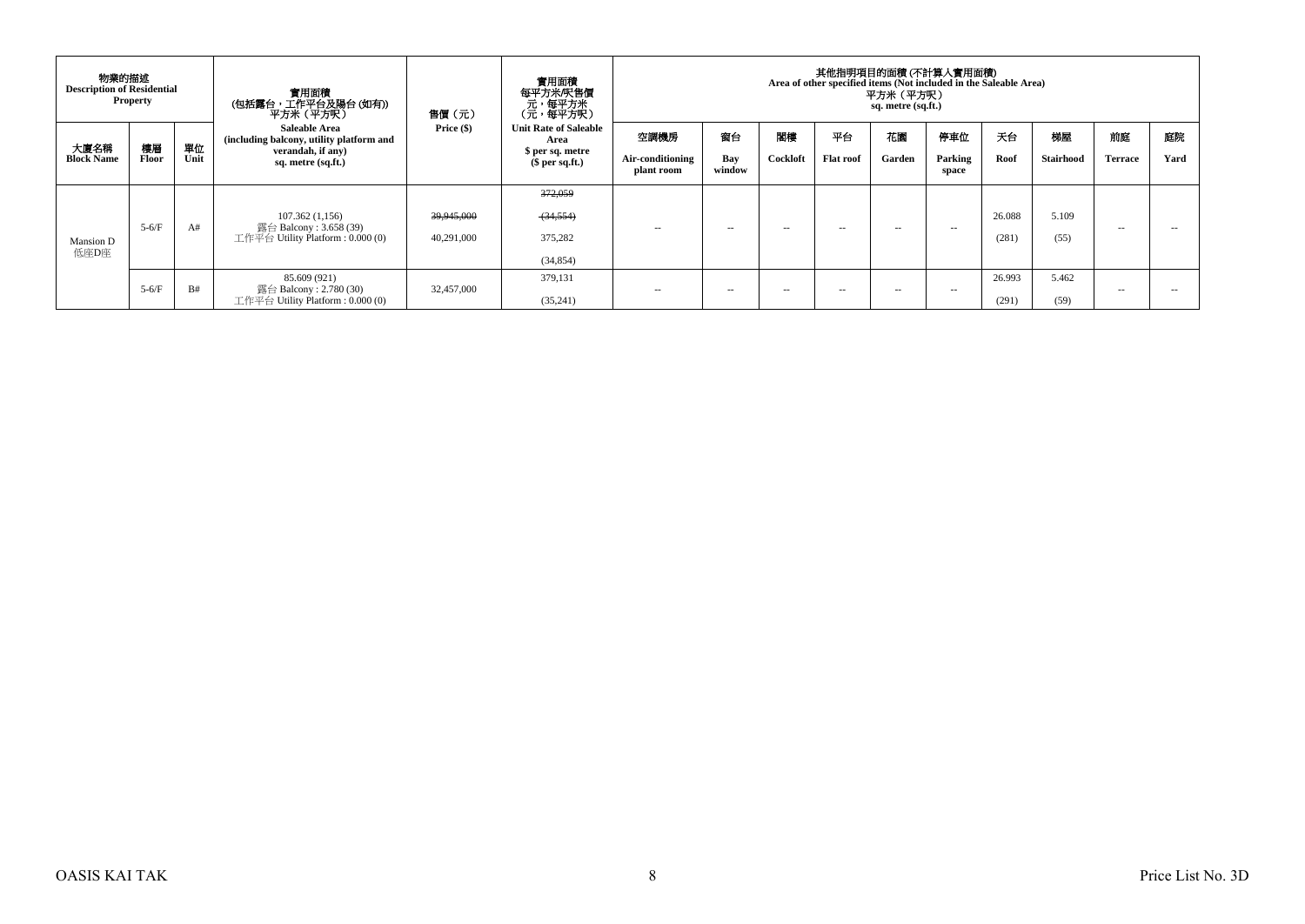|                           | 物業的描述<br><b>Description of Residential</b><br><b>Property</b> |            | 實用面積<br>(包括露台,工作平台及陽台(如有))<br>平方米 (平方呎)                                                                     | 售價(元)                    | 實用面積<br>每平方米/呎售價<br>、元,每平方米<br>(元,每平方呎)                                     | 其他指明項目的面積(不計算入實用面積)<br>Area of other specified items (Not included in the Saleable Area)<br>平方米 (平方呎)<br>sq. metre (sq.ft.) |                     |                |                        |               |                         |                 |                 |                      |            |  |  |
|---------------------------|---------------------------------------------------------------|------------|-------------------------------------------------------------------------------------------------------------|--------------------------|-----------------------------------------------------------------------------|-----------------------------------------------------------------------------------------------------------------------------|---------------------|----------------|------------------------|---------------|-------------------------|-----------------|-----------------|----------------------|------------|--|--|
| 大廈名稱<br><b>Block Name</b> | 樓層<br>Floor                                                   | 單位<br>Unit | <b>Saleable Area</b><br>(including balcony, utility platform and<br>verandah, if any)<br>sq. metre (sq.ft.) | Price $(\$)$             | <b>Unit Rate of Saleable</b><br>Area<br>\$ per sq. metre<br>$$$ per sq.ft.) | 空調機房<br>Air-conditioning<br>plant room                                                                                      | 窗台<br>Bay<br>window | 閣樓<br>Cockloft | 平台<br><b>Flat roof</b> | 花園<br>Garden  | 停車位<br>Parking<br>space | 天台<br>Roof      | 梯屋<br>Stairhood | 前庭<br><b>Terrace</b> | 庭院<br>Yard |  |  |
| Mansion D<br>低座D座         | $5-6/F$                                                       | A#         | 107.362(1,156)<br>露台 Balcony : 3.658 (39)<br>工作平台 Utility Platform : $0.000(0)$                             | 39,945,000<br>40,291,000 | 372,059<br>(34,554)<br>375,282<br>(34, 854)                                 | $\sim$ $-$                                                                                                                  | $\sim$              | $\sim$ $\sim$  | $\sim$ $-$             | $\sim$ $\sim$ | $\sim$ $-$              | 26.088<br>(281) | 5.109<br>(55)   | $\sim$ $-$           | --         |  |  |
|                           | $5-6/F$                                                       | B#         | 85.609 (921)<br>露台 Balcony : 2.780 (30)<br>工作平台 Utility Platform : $0.000(0)$                               | 32,457,000               | 379.131<br>(35,241)                                                         | $\sim$ $-$                                                                                                                  | $\sim$              | $\sim$ $\sim$  | $\sim$                 | $\sim$        | $\sim$ $\sim$           | 26.993<br>(291) | 5.462<br>(59)   | $\sim$ $\sim$        |            |  |  |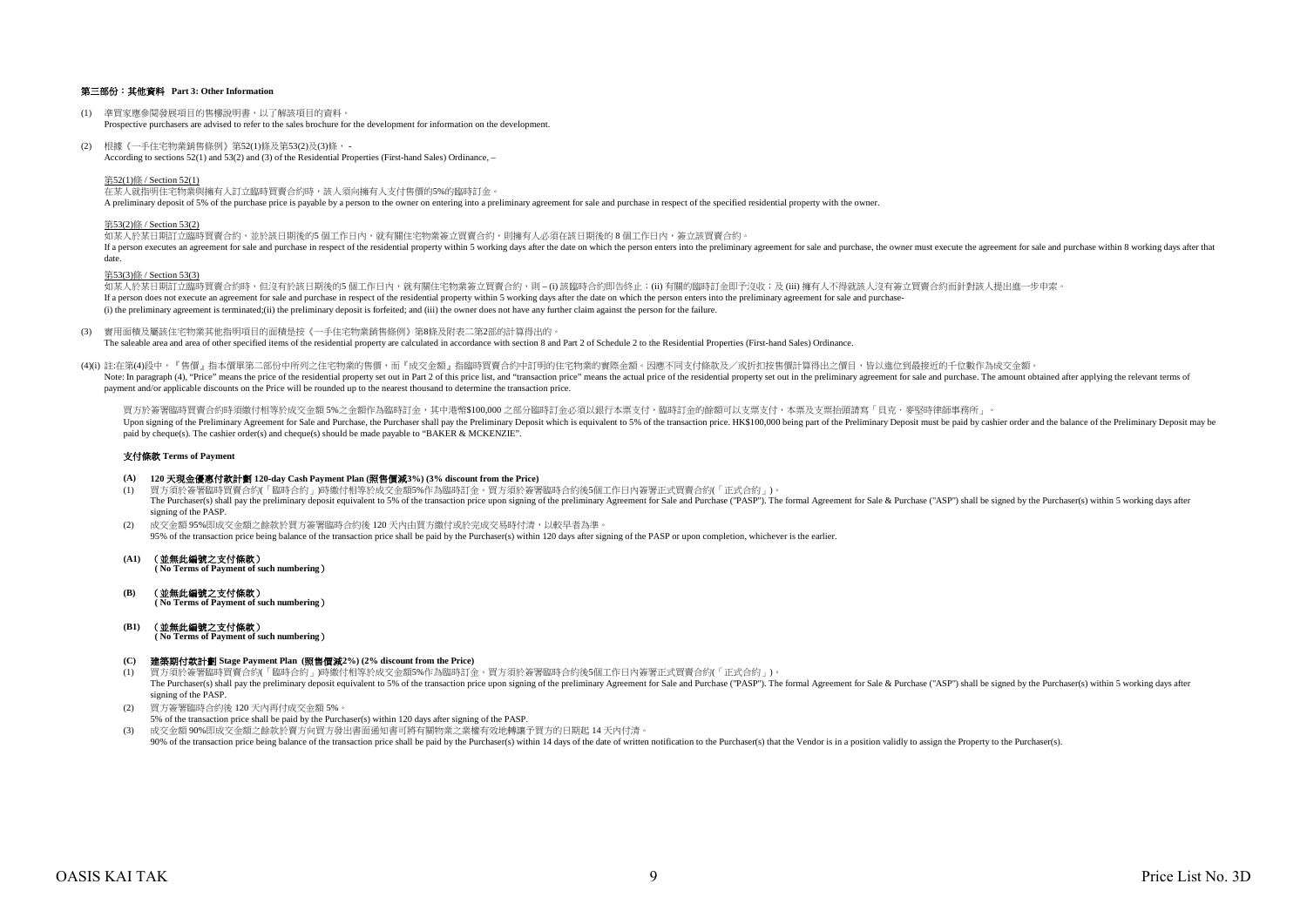### 第三部份:其他資料 **Part 3: Other Information**

- (1) 準買家應參閱發展項目的售樓說明書,以了解該項目的資料。 Prospective purchasers are advised to refer to the sales brochure for the development for information on the development.
- (2) 根據《一手住宅物業銷售條例》第52(1)條及第53(2)及(3)條, According to sections 52(1) and 53(2) and (3) of the Residential Properties (First-hand Sales) Ordinance, –

第52(1)條 / Section 52(1)

在某人就指明住宅物業與擁有人訂立臨時買賣合約時,該人須向擁有人支付售價的5%的臨時訂金。 A preliminary deposit of 5% of the purchase price is payable by a person to the owner on entering into a preliminary agreement for sale and purchase in respect of the specified residential property with the owner.

#### 第53(2)條 / Section 53(2)

如某人於某日期訂立臨時買賣合約,並於該日期後的5 個工作日內,就有關住宅物業簽立買賣合約,則擁有人必須在該日期後的 8 個工作日内,簽立該買賣合約。 If a person executes an agreement for sale and purchase in respect of the residential property within 5 working days after the date on which the person enters into the preliminary agreement for sale and purchase, the owner date.

#### 第53(3)條 / Section 53(3)

如某人於某日期訂立臨時買賣合約時,但沒有於該日期後的5 個工作日內,就有關住宅物業簽立買賣合約,則 – (i) 該臨時合約即告終止;(ii) 有關的臨時訂金即予沒收;及 (iii) 擁有人不得就該人沒有簽立買賣合約而針對該人提出進一步申索。 If a person does not execute an agreement for sale and purchase in respect of the residential property within 5 working days after the date on which the person enters into the preliminary agreement for sale and purchase-(i) the preliminary agreement is terminated;(ii) the preliminary deposit is forfeited; and (iii) the owner does not have any further claim against the person for the failure.

(3) 實用面積及屬該住宅物業其他指明項目的面積是按《一手住宅物業銷售條例》第8條及附表二第2部的計算得出的。

The saleable area and area of other specified items of the residential property are calculated in accordance with section 8 and Part 2 of Schedule 2 to the Residential Properties (First-hand Sales) Ordinance.

(4)(i) 註:在第(4)段中,『售價』指本價單第二部份中所列之住宅物業的售價,而『成交金額』指臨時買賣合約中訂明的住宅物業的實際金額。因應不同支付條款及/或折扣按售價計算得出之價目,皆以進位到最接近的千位數作為成交金額。  $\frac{1}{2}$ payment and/or applicable discounts on the Price will be rounded up to the nearest thousand to determine the transaction price.

買方於簽署臨時買賣合約時須繳付相等於成交金額 5%之金額作為臨時訂金,其中港幣\$100,000 之部分臨時訂金必須以銀行本票支付,臨時訂金的餘額可以支票支付,本票及支票抬頭請寫「貝克.麥堅時律師事務所」。 Upon signing of the Preliminary Agreement for Sale and Purchase, the Purchaser shall pay the Preliminary Deposit which is equivalent to 5% of the transaction price. HK\$100,000 being part of the Preliminary Deposit must be paid by cheque(s). The cashier order(s) and cheque(s) should be made payable to "BAKER & MCKENZIE".

#### 支付條款 **Terms of Payment**

- **(A) 120** 天現金優惠付款計劃 **120-day Cash Payment Plan (**照售價減**3%) (3% discount from the Price)**
- 。<br>(1) 買方須於簽署臨時買賣合約(「臨時合約」)時繳付相等於成交金額5%作為臨時訂金。買方須於签署臨時合約後5個工作日內签署正式買賣合約(「正式合約」)。 The Purchaser(s) shall pay the preliminary deposit equivalent to 5% of the transaction price upon signing of the preliminary Agreement for Sale and Purchase ("PASP"). The formal Agreement for Sale & Purchase ("ASP") shall signing of the PASE
- (2) 成交金額 95%即成交金額之餘款於買方簽署臨時合約後 120 天內由買方繳付或於完成交易時付清,以較早者為準。 95% of the transaction price being balance of the transaction price shall be paid by the Purchaser(s) within 120 days after signing of the PASP or upon completion, whichever is the earlier.
- **(A1)** (並無此編號之支付條款)  **( No Terms of Payment of such numbering**)
- **(B)** (並無此編號之支付條款)  **( No Terms of Payment of such numbering**)

### **(B1)** (並無此編號之支付條款)

 **( No Terms of Payment of such numbering**)

#### **(C)** 建築期付款計劃 **Stage Payment Plan (**照售價減**2%) (2% discount from the Price)**

- (1) 買方須於簽署臨時買賣合約(「臨時合約」)時繳付相等於成交金額5%作為臨時訂金。買方須於簽署臨時合約後5個工作日內簽署正式買賣合約(「正式合約」)。 The Purchaser(s) shall pay the preliminary deposit equivalent to 5% of the transaction price upon signing of the preliminary Agreement for Sale and Purchase ("PASP"). The formal Agreement for Sale & Purchase ("ASP") shall signing of the PASP.
- (2) 買方簽署臨時合約後 120 天內再付成交金額 5%。
- 5% of the transaction price shall be paid by the Purchaser(s) within 120 days after signing of the PASP.

(3) 成交金額 90%即成交金額之餘款於賣方向買方發出書面通知書可將有關物業之業權有效地轉讓予買方的日期起 14 天內付清。

90% of the transaction price being balance of the transaction price shall be paid by the Purchaser(s) within 14 days of the date of written notification to the Purchaser(s) that the Vendor is in a position validly to assig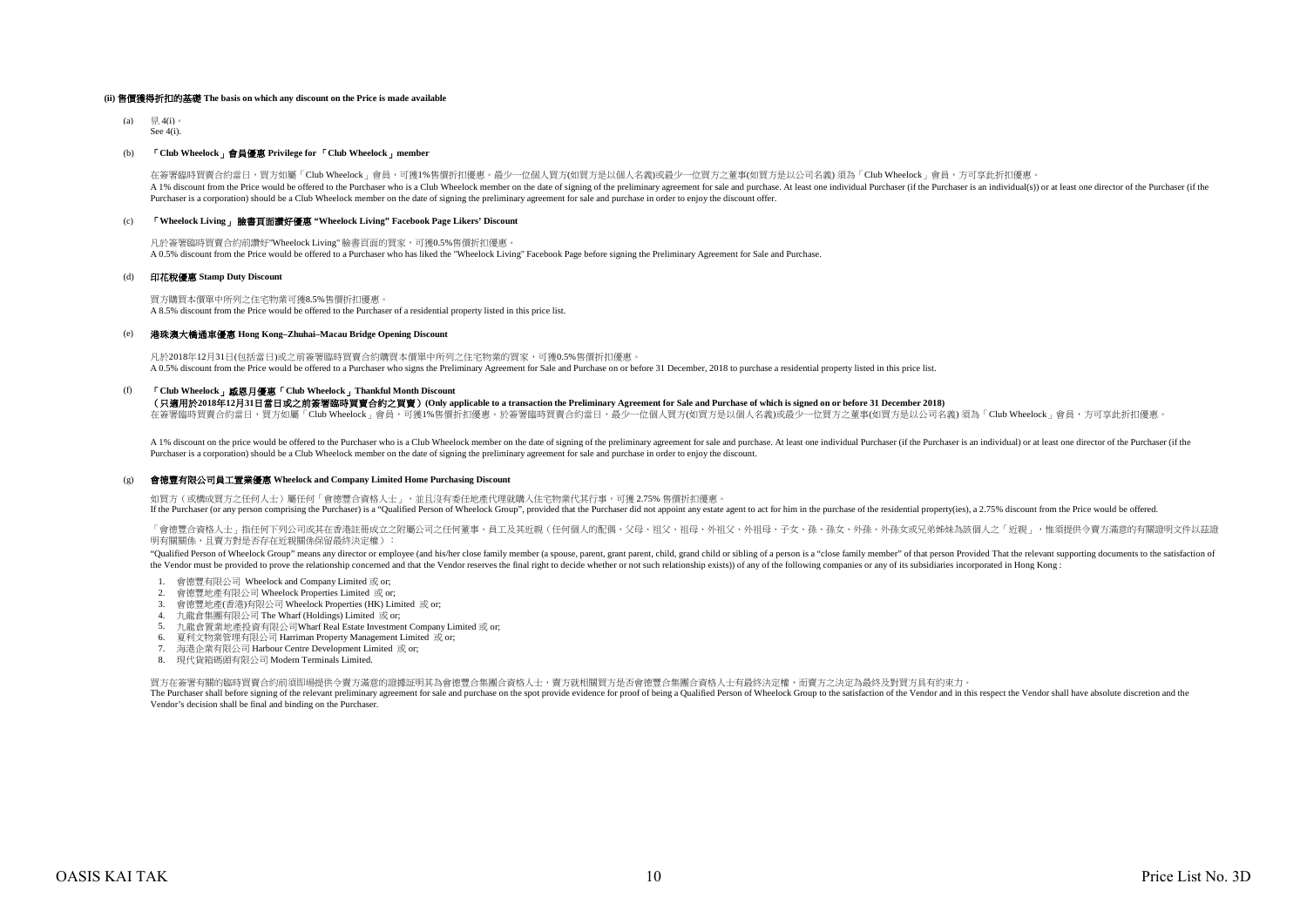#### **(ii)** 售價獲得折扣的基礎 **The basis on which any discount on the Price is made available**

 $(a) \quad \equiv 4(i)$  $S_{\alpha\alpha} A(i)$ .

#### (b) 「**Club Wheelock**」會員優惠 **Privilege for** 「**Club Wheelock**」**member**

A 1% discount from the Price would be offered to the Purchaser who is a Club Wheelock member on the date of signing of the preliminary agreement for sale and purchase. At least one individual Purchaser (if the Purchaser is Purchaser is a corporation) should be a Club Wheelock member on the date of signing the preliminary agreement for sale and purchase in order to enjoy the discount offer. 在簽署臨時買賣合約當日,買方如屬「Club Wheelock」會員,可獲1%售價折扣優惠。最少一位個人買方(如買方是以個人名義)或最少一位買方之董事(如買方是以公司名義) 須為「Club Wheelock」會員,方可享此折扣優惠

#### (c) 「**Wheelock Living**」 臉書頁面讚好優惠 **"Wheelock Living" Facebook Page Likers' Discount**

凡於簽署臨時買賣合約前讚好"Wheelock Living" 臉書頁面的買家,可獲0.5%售價折扣優惠。  $\lambda$  0.5% discount from the Price would be offered to a Purchaser who has liked the "Wheelock Living" Facebook Page before signing the Preliminary Agreement for Sale and Purchase.

#### (d) 印花稅優惠 **Stamp Duty Discount**

買方購買本價單中所列之住宅物業可獲8.5%售價折扣優惠。 A 8.5% discount from the Price would be offered to the Purchaser of a residential property listed in this price list.

#### (e) 港珠澳大橋通車優惠 **Hong Kong–Zhuhai–Macau Bridge Opening Discount**

凡於2018年12月31日(包括當日)或之前簽署臨時買賣合約購買本價單中所列之住宅物業的買家,可獲0.5%售價折扣優惠。  $\overline{AB}$  A 0.5% discount from the Price would be offered to a Purchaser who signs the Preliminary Agreement for Sale and Purchase on or before 31 December, 2018 to purchase a residential property listed in this price list

#### (f) 「**Club Wheelock**」感恩月優惠「**Club Wheelock**」**Thankful Month Discount**

#### (只適用於**2018**年**12**月**31**日當日或之前簽署臨時買賣合約之買賣)**(Only applicable to a transaction the Preliminary Agreement for Sale and Purchase of which is signed on or before 31 December 2018)**

在簽署臨時買賣合約當日,買方如屬「Club Wheelock」會員,可獲1%售價折扣優惠。於簽署臨時買賣合約當日,最少一位個人買方(如買方是以個人名義)或最少一位買方之董事(如買方是以公司名義) 須為「Club Wheelock」會員,方可享此折扣優惠。

A 1% discount on the price would be offered to the Purchaser who is a Club Wheelock member on the date of signing of the preliminary agreement for sale and purchase. At least one individual Purchaser (if the Purchaser is a Purchaser is a corporation) should be a Club Wheelock member on the date of signing the preliminary agreement for sale and purchase in order to enjoy the discount.

#### (g) 會德豐有限公司員工置業優惠 **Wheelock and Company Limited Home Purchasing Discount**

如買方 (或構成買方之任何人士)屬任何「會德豐合資格人士」,並且沒有委任地產代理就購入住宅物業代其行事,可獲 2.75% 售價折扣優惠 If the Purchaser (or any person comprising the Purchaser) is a "Qualified Person of Wheelock Group", provided that the Purchaser did not appoint any estate agent to act for him in the purchase of the residential property(i

「會德豐合資格人士」指任何下列公司或其在香港註冊成立之附屬公司之任何董事、員工及其近親(任何個人的配偶、父母、祖父、祖母、外祖父、外祖母、子女、孫、孫女、外孫、外孫女或兄弟姊妹為該個人之「近親」,惟須提供令賣方滿意的有關證明文件以茲證 明有關關係,且賣方對是否存在近親關係保留最終決定權):

"Oualified Person of Wheelock Group" means any director or employee (and his/her close family member (a spouse, parent, grant parent, child, grand child or sibling of a person is a "close family member" of that person Prov the Vendor must be provided to prove the relationship concerned and that the Vendor reserves the final right to decide whether or not such relationship exists)) of any of the following companies or any of its subsidiaries

- 1. 會德豐有限公司 Wheelock and Company Limited 或 or;
- 2. 會德豐地產有限公司 Wheelock Properties Limited 或 or;
- 3. 會德豐地產(香港)有限公司 Wheelock Properties (HK) Limited 或 or;
- 4. 九龍倉集團有限公司 The Wharf (Holdings) Limited 或 or;
- 5. 九龍倉置業地產投資有限公司Wharf Real Estate Investment Company Limited 或 or;
- 6. 夏利文物業管理有限公司 Harriman Property Management Limited 或 or;
- 7. 海港企業有限公司 Harbour Centre Development Limited 或 or;
- 8. 現代貨箱碼頭有限公司 Modern Terminals Limited.

買方在簽署有關的臨時買賣合約前須即場提供令賣方滿意的證據証明其為會德豐合集團合資格人士,賣方就相關買方是否會德豐合集團合資格人士有最終決定權,而賣方之決定為最終及對買方具有約束力。

The Purchaser shall before signing of the relevant preliminary agreement for sale and purchase on the spot provide evidence for proof of being a Qualified Person of Wheelock Group to the satisfaction of the Vendor and in t Vendor's decision shall be final and binding on the Purchaser.